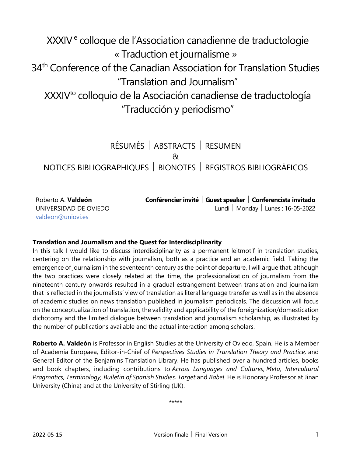XXXIV<sup>e</sup> colloque de l'Association canadienne de traductologie « Traduction et journalisme »

34<sup>th</sup> Conference of the Canadian Association for Translation Studies "Translation and Journalism"

XXXIV<sup>to</sup> colloquio de la Asociación canadiense de traductología "Traducción y periodismo"

RÉSUMÉS | ABSTRACTS | RESUMEN  $8<sub>Y</sub>$ NOTICES BIBLIOGRAPHIQUES | BIONOTES | REGISTROS BIBLIOGRÁFICOS

| Roberto A. <b>Valdeón</b> |  | Conférencier invité   Guest speaker   Conferencista invitado |
|---------------------------|--|--------------------------------------------------------------|
| UNIVERSIDAD DE OVIEDO     |  | Lundi   Monday   Lunes: $16-05-2022$                         |
| valdeon@uniovi.es         |  |                                                              |

## **Translation and Journalism and the Quest for Interdisciplinarity**

In this talk I would like to discuss interdisciplinarity as a permanent leitmotif in translation studies, centering on the relationship with journalism, both as a practice and an academic field. Taking the emergence of journalism in the seventeenth century as the point of departure, I will argue that, although the two practices were closely related at the time, the professionalization of journalism from the nineteenth century onwards resulted in a gradual estrangement between translation and journalism that is reflected in the journalists' view of translation as literal language transfer as well as in the absence of academic studies on news translation published in journalism periodicals. The discussion will focus on the conceptualization of translation, the validity and applicability of the foreignization/domestication dichotomy and the limited dialogue between translation and journalism scholarship, as illustrated by the number of publications available and the actual interaction among scholars.

**Roberto A. Valdeón** is Professor in English Studies at the University of Oviedo, Spain. He is a Member of Academia Europaea, Editor-in-Chief of *Perspectives Studies in Translation Theory and Practice,* and General Editor of the Benjamins Translation Library. He has published over a hundred articles, books and book chapters, including contributions to *Across Languages and Cultures*, *Meta, Intercultural Pragmatics, Terminology, Bulletin of Spanish Studies, Target* and *Babel*. He is Honorary Professor at Jinan University (China) and at the University of Stirling (UK).

\*\*\*\*\*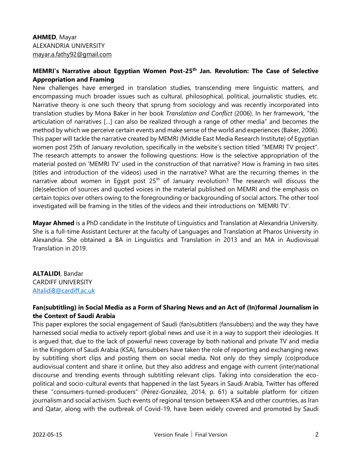## **MEMRI's Narrative about Egyptian Women Post-25th Jan. Revolution: The Case of Selective Appropriation and Framing**

New challenges have emerged in translation studies, transcending mere linguistic matters, and encompassing much broader issues such as cultural, philosophical, political, journalistic studies, etc. Narrative theory is one such theory that sprung from sociology and was recently incorporated into translation studies by Mona Baker in her book *Translation and Conflict* (2006). In her framework, "the articulation of narratives […] can also be realized through a range of other media" and becomes the method by which we perceive certain events and make sense of the world and experiences (Baker, 2006). This paper will tackle the narrative created by MEMRI (Middle East Media Research Institute) of Egyptian women post 25th of January revolution, specifically in the website's section titled "MEMRI TV project". The research attempts to answer the following questions: How is the selective appropriation of the material posted on 'MEMRI TV' used in the construction of that narrative? How is framing in two sites (titles and introduction of the videos) used in the narrative? What are the recurring themes in the narrative about women in Egypt post  $25<sup>th</sup>$  of January revolution? The research will discuss the (de)selection of sources and quoted voices in the material published on MEMRI and the emphasis on certain topics over others owing to the foregrounding or backgrounding of social actors. The other tool investigated will be framing in the titles of the videos and their introductions on 'MEMRI TV'.

**Mayar Ahmed** is a PhD candidate in the Institute of Linguistics and Translation at Alexandria University. She is a full-time Assistant Lecturer at the faculty of Languages and Translation at Pharos University in Alexandria. She obtained a BA in Linguistics and Translation in 2013 and an MA in Audiovisual Translation in 2019.

**ALTALIDI**, Bandar CARDIFF UNIVERSITY [AltalidiB@cardiff.ac.uk](mailto:AltalidiB@cardiff.ac.uk)

## **Fan(subtitling) in Social Media as a Form of Sharing News and an Act of (In)formal Journalism in the Context of Saudi Arabia**

This paper explores the social engagement of Saudi (fan)subtitlers (fansubbers) and the way they have harnessed social media to actively report global news and use it in a way to support their ideologies. It is argued that, due to the lack of powerful news coverage by both national and private TV and media in the Kingdom of Saudi Arabia (KSA), fansubbers have taken the role of reporting and exchanging news by subtitling short clips and posting them on social media. Not only do they simply (co)produce audiovisual content and share it online, but they also address and engage with current (inter)national discourse and trending events through subtitling relevant clips. Taking into consideration the ecopolitical and socio-cultural events that happened in the last 5years in Saudi Arabia, Twitter has offered these "consumers-turned-producers" (Pérez-González, 2014, p. 61) a suitable platform for citizen journalism and social activism. Such events of regional tension between KSA and other countries, as Iran and Qatar, along with the outbreak of Covid-19, have been widely covered and promoted by Saudi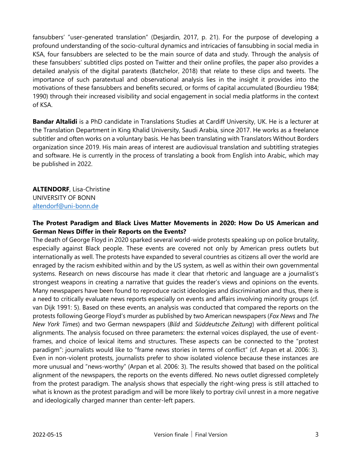fansubbers' "user-generated translation" (Desjardin, 2017, p. 21). For the purpose of developing a profound understanding of the socio-cultural dynamics and intricacies of fansubbing in social media in KSA, four fansubbers are selected to be the main source of data and study. Through the analysis of these fansubbers' subtitled clips posted on Twitter and their online profiles, the paper also provides a detailed analysis of the digital paratexts (Batchelor, 2018) that relate to these clips and tweets. The importance of such paratextual and observational analysis lies in the insight it provides into the motivations of these fansubbers and benefits secured, or forms of capital accumulated (Bourdieu 1984; 1990) through their increased visibility and social engagement in social media platforms in the context of KSA.

**Bandar Altalidi** is a PhD candidate in Translations Studies at Cardiff University, UK. He is a lecturer at the Translation Department in King Khalid University, Saudi Arabia, since 2017. He works as a freelance subtitler and often works on a voluntary basis. He has been translating with Translators Without Borders organization since 2019. His main areas of interest are audiovisual translation and subtitling strategies and software. He is currently in the process of translating a book from English into Arabic, which may be published in 2022.

**ALTENDORF**, Lisa-Christine UNIVERSITY OF BONN [altendorf@uni-bonn.de](mailto:altendorf@uni-bonn.de)

## **The Protest Paradigm and Black Lives Matter Movements in 2020: How Do US American and German News Differ in their Reports on the Events?**

The death of George Floyd in 2020 sparked several world-wide protests speaking up on police brutality, especially against Black people. These events are covered not only by American press outlets but internationally as well. The protests have expanded to several countries as citizens all over the world are enraged by the racism exhibited within and by the US system, as well as within their own governmental systems. Research on news discourse has made it clear that rhetoric and language are a journalist's strongest weapons in creating a narrative that guides the reader's views and opinions on the events. Many newspapers have been found to reproduce racist ideologies and discrimination and thus, there is a need to critically evaluate news reports especially on events and affairs involving minority groups (cf. van Dijk 1991: 5). Based on these events, an analysis was conducted that compared the reports on the protests following George Floyd's murder as published by two American newspapers (*Fox News* and *The New York Times*) and two German newspapers (*Bild* and *Süddeutsche Zeitung*) with different political alignments. The analysis focused on three parameters: the external voices displayed, the use of eventframes, and choice of lexical items and structures. These aspects can be connected to the "protest paradigm": journalists would like to "frame news stories in terms of conflict" (cf. Arpan et al. 2006: 3). Even in non-violent protests, journalists prefer to show isolated violence because these instances are more unusual and "news-worthy" (Arpan et al. 2006: 3). The results showed that based on the political alignment of the newspapers, the reports on the events differed. No news outlet digressed completely from the protest paradigm. The analysis shows that especially the right-wing press is still attached to what is known as the protest paradigm and will be more likely to portray civil unrest in a more negative and ideologically charged manner than center-left papers.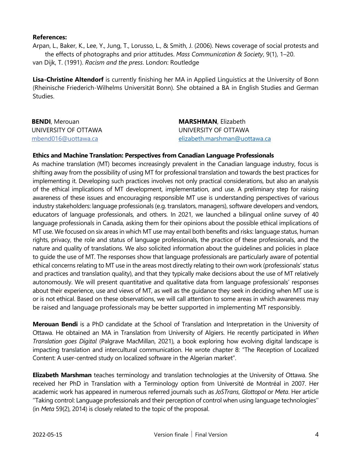#### **References:**

Arpan, L., Baker, K., Lee, Y., Jung, T., Lorusso, L., & Smith, J. (2006). News coverage of social protests and the effects of photographs and prior attitudes. *Mass Communication & Society*, 9(1), 1–20. van Dijk, T. (1991). *Racism and the press*. London: Routledge

**Lisa-Christine Altendorf** is currently finishing her MA in Applied Linguistics at the University of Bonn (Rheinische Friederich-Wilhelms Universität Bonn). She obtained a BA in English Studies and German Studies.

| <b>BENDI</b> , Merouan | <b>MARSHMAN, Elizabeth</b>    |
|------------------------|-------------------------------|
| UNIVERSITY OF OTTAWA   | UNIVERSITY OF OTTAWA          |
| mbend016@uottawa.ca    | elizabeth.marshman@uottawa.ca |

### **Ethics and Machine Translation: Perspectives from Canadian Language Professionals**

As machine translation (MT) becomes increasingly prevalent in the Canadian language industry, focus is shifting away from the possibility of using MT for professional translation and towards the best practices for implementing it. Developing such practices involves not only practical considerations, but also an analysis of the ethical implications of MT development, implementation, and use. A preliminary step for raising awareness of these issues and encouraging responsible MT use is understanding perspectives of various industry stakeholders: language professionals (e.g. translators, managers), software developers and vendors, educators of language professionals, and others. In 2021, we launched a bilingual online survey of 40 language professionals in Canada, asking them for their opinions about the possible ethical implications of MT use. We focused on six areas in which MT use may entail both benefits and risks: language status, human rights, privacy, the role and status of language professionals, the practice of these professionals, and the nature and quality of translations. We also solicited information about the guidelines and policies in place to guide the use of MT. The responses show that language professionals are particularly aware of potential ethical concerns relating to MT use in the areas most directly relating to their own work (professionals' status and practices and translation quality), and that they typically make decisions about the use of MT relatively autonomously. We will present quantitative and qualitative data from language professionals' responses about their experience, use and views of MT, as well as the guidance they seek in deciding when MT use is or is not ethical. Based on these observations, we will call attention to some areas in which awareness may be raised and language professionals may be better supported in implementing MT responsibly.

**Merouan Bendi** is a PhD candidate at the School of Translation and Interpretation in the University of Ottawa. He obtained an MA in Translation from University of Algiers. He recently participated in *When Translation goes Digital* (Palgrave MacMillan, 2021), a book exploring how evolving digital landscape is impacting translation and intercultural communication. He wrote chapter 8: "The Reception of Localized Content: A user-centred study on localized software in the Algerian market".

**Elizabeth Marshman** teaches terminology and translation technologies at the University of Ottawa. She received her PhD in Translation with a Terminology option from Université de Montréal in 2007. Her academic work has appeared in numerous referred journals such as *JoSTrans*, *Glottopol* or *Meta*. Her article ''Taking control: Language professionals and their perception of control when using language technologies'' (in *Meta* 59(2), 2014) is closely related to the topic of the proposal.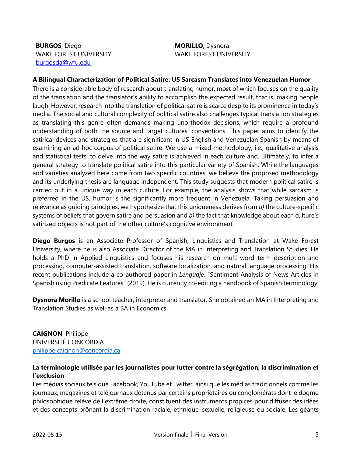**BURGOS**, Diego WAKE FOREST UNIVERSITY [burgosda@wfu.edu](mailto:burgosda@wfu.edu)

**MORILLO**, Dysnora WAKE FOREST UNIVERSITY

#### **A Bilingual Characterization of Political Satire: US Sarcasm Translates into Venezuelan Humor**

There is a considerable body of research about translating humor, most of which focuses on the quality of the translation and the translator's ability to accomplish the expected result, that is, making people laugh. However, research into the translation of political satire is scarce despite its prominence in today's media. The social and cultural complexity of political satire also challenges typical translation strategies as translating this genre often demands making unorthodox decisions, which require a profound understanding of both the source and target cultures' conventions. This paper aims to identify the satirical devices and strategies that are significant in US English and Venezuelan Spanish by means of examining an ad hoc corpus of political satire. We use a mixed methodology, i.e., qualitative analysis and statistical tests, to delve into the way satire is achieved in each culture and, ultimately, to infer a general strategy to translate political satire into this particular variety of Spanish. While the languages and varieties analyzed here come from two specific countries, we believe the proposed methodology and its underlying thesis are language independent. This study suggests that modern political satire is carried out in a unique way in each culture. For example, the analysis shows that while sarcasm is preferred in the US, humor is the significantly more frequent in Venezuela. Taking persuasion and relevance as guiding principles, we hypothesize that this uniqueness derives from *a)* the culture-specific systems of beliefs that govern satire and persuasion and *b)* the fact that knowledge about each culture's satirized objects is not part of the other culture's cognitive environment.

**Diego Burgos** is an Associate Professor of Spanish, Linguistics and Translation at Wake Forest University, where he is also Associate Director of the MA in Interpreting and Translation Studies. He holds a PhD in Applied Linguistics and focuses his research on multi-word term description and processing, computer-assisted translation, software localization, and natural language processing. His recent publications include a co-authored paper in *Lenguaje,* "Sentiment Analysis of News Articles in Spanish using Predicate Features" (2019). He is currently co-editing a handbook of Spanish terminology.

**Dysnora Morillo** is a school teacher, interpreter and translator. She obtained an MA in Interpreting and Translation Studies as well as a BA in Economics.

**CAIGNON**, Philippe UNIVERSITÉ CONCORDIA [philippe.caignon@concordia.ca](mailto:philippe.caignon@concordia.ca)

### **La terminologie utilisée par les journalistes pour lutter contre la ségrégation, la discrimination et l'exclusion**

Les médias sociaux tels que Facebook, YouTube et Twitter, ainsi que les médias traditionnels comme les journaux, magazines et téléjournaux détenus par certains propriétaires ou conglomérats dont le dogme philosophique relève de l'extrême droite, constituent des instruments propices pour diffuser des idées et des concepts prônant la discrimination raciale, ethnique, sexuelle, religieuse ou sociale. Les géants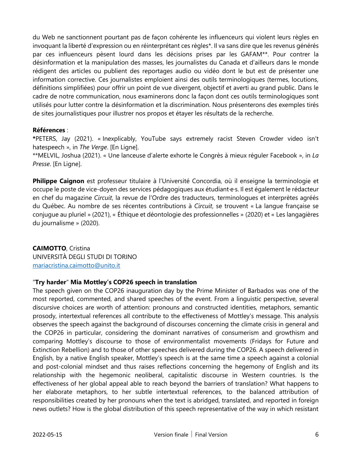du Web ne sanctionnent pourtant pas de façon cohérente les influenceurs qui violent leurs règles en invoquant la liberté d'expression ou en réinterprétant ces règles\*. Il va sans dire que les revenus générés par ces influenceurs pèsent lourd dans les décisions prises par les GAFAM\*\*. Pour contrer la désinformation et la manipulation des masses, les journalistes du Canada et d'ailleurs dans le monde rédigent des articles ou publient des reportages audio ou vidéo dont le but est de présenter une information corrective. Ces journalistes emploient ainsi des outils terminologiques (termes, locutions, définitions simplifiées) pour offrir un point de vue divergent, objectif et averti au grand public. Dans le cadre de notre communication, nous examinerons donc la façon dont ces outils terminologiques sont utilisés pour lutter contre la désinformation et la discrimination. Nous présenterons des exemples tirés de sites journalistiques pour illustrer nos propos et étayer les résultats de la recherche.

### **Références** :

**\***PETERS, Jay (2021). « Inexplicably, YouTube says extremely racist Steven Crowder video isn't hatespeech », in *The Verge*. [En Ligne].

\*\*MELVIL, Joshua (2021). « Une lanceuse d'alerte exhorte le Congrès à mieux réguler Facebook », in *La Presse*. [En Ligne].

**Philippe Caignon** est professeur titulaire à l'Université Concordia, où il enseigne la terminologie et occupe le poste de vice-doyen des services pédagogiques aux étudiant·e·s. Il est également le rédacteur en chef du magazine *Circuit*, la revue de l'Ordre des traducteurs, terminologues et interprètes agréés du Québec. Au nombre de ses récentes contributions à *Circuit*, se trouvent « La langue française se conjugue au pluriel » (2021), « Éthique et déontologie des professionnelles » (2020) et « Les langagières du journalisme » (2020).

**CAIMOTTO**, Cristina UNIVERSITÀ DEGLI STUDI DI TORINO [mariacristina.caimotto@unito.it](mailto:mariacristina.caimotto@unito.it)

## "**Try harder**" **Mia Mottley's COP26 speech in translation**

The speech given on the COP26 inauguration day by the Prime Minister of Barbados was one of the most reported, commented, and shared speeches of the event. From a linguistic perspective, several discursive choices are worth of attention: pronouns and constructed identities, metaphors, semantic prosody, intertextual references all contribute to the effectiveness of Mottley's message. This analysis observes the speech against the background of discourses concerning the climate crisis in general and the COP26 in particular, considering the dominant narratives of consumerism and growthism and comparing Mottley's discourse to those of environmentalist movements (Fridays for Future and Extinction Rebellion) and to those of other speeches delivered during the COP26. A speech delivered in English, by a native English speaker, Mottley's speech is at the same time a speech against a colonial and post-colonial mindset and thus raises reflections concerning the hegemony of English and its relationship with the hegemonic neoliberal, capitalistic discourse in Western countries. Is the effectiveness of her global appeal able to reach beyond the barriers of translation? What happens to her elaborate metaphors, to her subtle intertextual references, to the balanced attribution of responsibilities created by her pronouns when the text is abridged, translated, and reported in foreign news outlets? How is the global distribution of this speech representative of the way in which resistant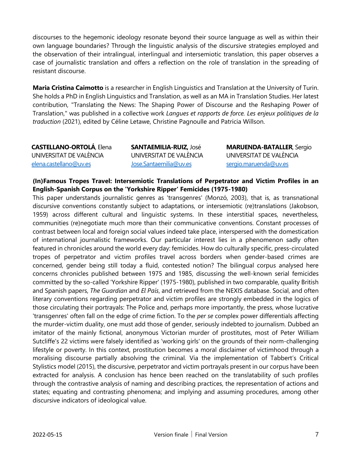discourses to the hegemonic ideology resonate beyond their source language as well as within their own language boundaries? Through the linguistic analysis of the discursive strategies employed and the observation of their intralingual, interlingual and intersemiotic translation, this paper observes a case of journalistic translation and offers a reflection on the role of translation in the spreading of resistant discourse.

**Maria Cristina Caimotto** is a researcher in English Linguistics and Translation at the University of Turin. She holds a PhD in English Linguistics and Translation, as well as an MA in Translation Studies. Her latest contribution, "Translating the News: The Shaping Power of Discourse and the Reshaping Power of Translation," was published in a collective work *Langues et rapports de force. Les enjeux politiques de la traduction* (2021), edited by Céline Letawe, Christine Pagnoulle and Patricia Willson.

| <b>CASTELLANO-ORTOLÁ</b> , Elena |
|----------------------------------|
| UNIVERSITAT DE VALÈNCIA          |
| elena.castellano@uv.es           |

**SANTAEMILIA-RUIZ,** José UNIVERSITAT DE VALÈNCIA [Jose.Santaemilia@uv.es](mailto:Jose.Santaemilia@uv.es)

**MARUENDA-BATALLER**, Sergio UNIVERSITAT DE VALÈNCIA [sergio.maruenda@uv.es](mailto:sergio.maruenda@uv.es)

### **(In)Famous Tropes Travel: Intersemiotic Translations of Perpetrator and Victim Profiles in an English-Spanish Corpus on the 'Yorkshire Ripper' Femicides (1975-1980)**

This paper understands journalistic genres as 'transgenres' (Monzó, 2003), that is, as transnational discursive conventions constantly subject to adaptations, or intersemiotic (re)translations (Jakobson, 1959) across different cultural and linguistic systems. In these interstitial spaces, nevertheless, communities (re)negotiate much more than their communicative conventions. Constant processes of contrast between local and foreign social values indeed take place, interspersed with the domestication of international journalistic frameworks. Our particular interest lies in a phenomenon sadly often featured in chronicles around the world every day: femicides. How do culturally specific, press-circulated tropes of perpetrator and victim profiles travel across borders when gender-based crimes are concerned, gender being still today a fluid, contested notion? The bilingual corpus analysed here concerns chronicles published between 1975 and 1985, discussing the well-known serial femicides committed by the so-called 'Yorkshire Ripper' (1975-1980), published in two comparable, quality British and Spanish papers, *The Guardian* and *El País*, and retrieved from the NEXIS database. Social, and often literary conventions regarding perpetrator and victim profiles are strongly embedded in the logics of those circulating their portrayals: The Police and, perhaps more importantly, the press, whose lucrative 'transgenres' often fall on the edge of crime fiction. To the *per se* complex power differentials affecting the murder-victim duality, one must add those of gender, seriously indebted to journalism. Dubbed an imitator of the mainly fictional, anonymous Victorian murder of prostitutes, most of Peter William Sutcliffe's 22 victims were falsely identified as 'working girls' on the grounds of their norm-challenging lifestyle or poverty. In this context, prostitution becomes a moral disclaimer of victimhood through a moralising discourse partially absolving the criminal. Via the implementation of Tabbert's Critical Stylistics model (2015), the discursive, perpetrator and victim portrayals present in our corpus have been extracted for analysis. A conclusion has hence been reached on the translatability of such profiles through the contrastive analysis of naming and describing practices, the representation of actions and states; equating and contrasting phenomena; and implying and assuming procedures, among other discursive indicators of ideological value.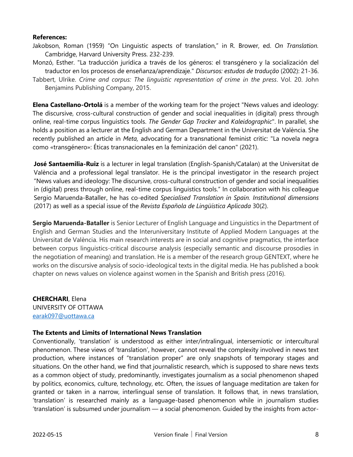#### **References:**

- Jakobson, Roman (1959) "On Linguistic aspects of translation," in R. Brower, ed. *On Translation.* Cambridge, Harvard University Press. 232-239.
- Monzó, Esther. "La traducción jurídica a través de los géneros: el transgénero y la socialización del traductor en los procesos de enseñanza/aprendizaje." *Discursos: estudos de tradução* (2002): 21-36.
- Tabbert, Ulrike. *Crime and corpus: The linguistic representation of crime in the press*. Vol. 20. John Benjamins Publishing Company, 2015.

**Elena Castellano-Ortolá** is a member of the working team for the project "News values and ideology: The discursive, cross-cultural construction of gender and social inequalities in (digital) press through online, real-time corpus linguistics tools. *The Gender Gap Tracker* and *Kaleidographic*". In parallel, she holds a position as a lecturer at the English and German Department in the Universitat de València. She recently published an article in *Meta,* advocating for a transnational feminist critic: "La novela negra como «transgénero»: Éticas transnacionales en la feminización del canon" (2021).

**José Santaemilia-Ruiz** is a lecturer in legal translation (English-Spanish/Catalan) at the Universitat de València and a professional legal translator. He is the principal investigator in the research project "News values and ideology: The discursive, cross-cultural construction of gender and social inequalities in (digital) press through online, real-time corpus linguistics tools." In collaboration with his colleague Sergio Maruenda-Bataller, he has co-edited *Specialised Translation in Spain. Institutional dimensions* (2017) as well as a special issue of the *Revista Española de Lingüística Aplicada* 30(2).

**Sergio Maruenda-Bataller** is Senior Lecturer of English Language and Linguistics in the Department of English and German Studies and the Interuniversitary Institute of Applied Modern Languages at the Universitat de València. His main research interests are in social and cognitive pragmatics, the interface between corpus linguistics-critical discourse analysis (especially semantic and discourse prosodies in the negotiation of meaning) and translation. He is a member of the research group GENTEXT, where he works on the discursive analysis of socio-ideological texts in the digital media. He has published a book chapter on news values on violence against women in the Spanish and British press (2016).

**CHERCHARI**, Elena UNIVERSITY OF OTTAWA [earak097@uottawa.ca](mailto:earak097@uottawa.ca)

#### **The Extents and Limits of International News Translation**

Conventionally, 'translation' is understood as either inter/intralingual, intersemiotic or intercultural phenomenon. These views of 'translation', however, cannot reveal the complexity involved in news text production, where instances of "translation proper" are only snapshots of temporary stages and situations. On the other hand, we find that journalistic research, which is supposed to share news texts as a common object of study, predominantly, investigates journalism as a social phenomenon shaped by politics, economics, culture, technology, etc. Often, the issues of language meditation are taken for granted or taken in a narrow, interlingual sense of translation. It follows that, in news translation, 'translation' is researched mainly as a language-based phenomenon while in journalism studies 'translation' is subsumed under journalism — a social phenomenon. Guided by the insights from actor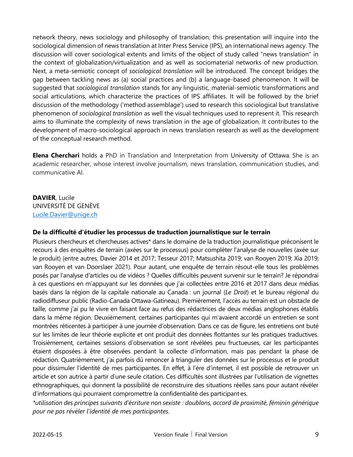network theory, news sociology and philosophy of translation, this presentation will inquire into the sociological dimension of news translation at Inter Press Service (IPS), an international news agency. The discussion will cover sociological extents and limits of the object of study called "news translation" in the context of globalization/virtualization and as well as sociomaterial networks of new production. Next, a meta-semiotic concept of *sociological translation* will be introduced. The concept bridges the gap between tackling news as (a) social practices and (b) a language-based phenomenon. It will be suggested that *sociological translation* stands for any linguistic, material-semiotic transformations and social articulations, which characterize the practices of IPS affiliates. It will be followed by the brief discussion of the methodology ('method assemblage') used to research this sociological but translative phenomenon of *sociological translation* as well the visual techniques used to represent it. This research aims to illuminate the complexity of news translation in the age of globalization. It contributes to the development of macro-sociological approach in news translation research as well as the development of the conceptual research method.

**Elena Cherchari** holds a PhD in Translation and Interpretation from University of Ottawa. She is an academic researcher, whose interest involve journalism, news translation, communication studies, and communicative AI.

#### **DAVIER**, Lucile UNIVERSITÉ DE GENÈVE [Lucile.Davier@unige.ch](mailto:Lucile.Davier@unige.ch)

#### **De la difficulté d'étudier les processus de traduction journalistique sur le terrain**

Plusieurs chercheurs et chercheuses actives\* dans le domaine de la traduction journalistique préconisent le recours à des enquêtes de terrain (axées sur le processus) pour compléter l'analyse de nouvelles (axée sur le produit) (entre autres, Davier 2014 et 2017; Tesseur 2017; Matsushita 2019; van Rooyen 2019; Xia 2019; van Rooyen et van Doorslaer 2021). Pour autant, une enquête de terrain résout-elle tous les problèmes posés par l'analyse d'articles ou de vidéos ? Quelles difficultés peuvent survenir sur le terrain? Je répondrai à ces questions en m'appuyant sur les données que j'ai collectées entre 2016 et 2017 dans deux médias basés dans la région de la capitale nationale au Canada : un journal (*Le Droit*) et le bureau régional du radiodiffuseur public (Radio-Canada Ottawa-Gatineau). Premièrement, l'accès au terrain est un obstacle de taille, comme j'ai pu le vivre en faisant face au refus des rédactrices de deux médias anglophones établis dans la même région. Deuxièmement, certaines participantes qui m'avaient accordé un entretien se sont montrées réticentes à participer à une journée d'observation. Dans ce cas de figure, les entretiens ont buté sur les limites de leur théorie explicite et ont produit des données flottantes sur les pratiques traductives. Troisièmement, certaines sessions d'observation se sont révélées peu fructueuses, car les participantes étaient disposées à être observées pendant la collecte d'information, mais pas pendant la phase de rédaction. Quatrièmement, j'ai parfois dû renoncer à trianguler des données sur le processus et le produit pour dissimuler l'identité de mes participantes. En effet, à l'ère d'internet, il est possible de retrouver un article et son autrice à partir d'une seule citation. Ces difficultés sont illustrées par l'utilisation de vignettes ethnographiques, qui donnent la possibilité de reconstruire des situations réelles sans pour autant révéler d'informations qui pourraient compromettre la confidentialité des participant·es.

*\*utilisation des principes suivants d'écriture non sexiste : doublons, accord de proximité, féminin générique pour ne pas révéler l'identité de mes participantes.*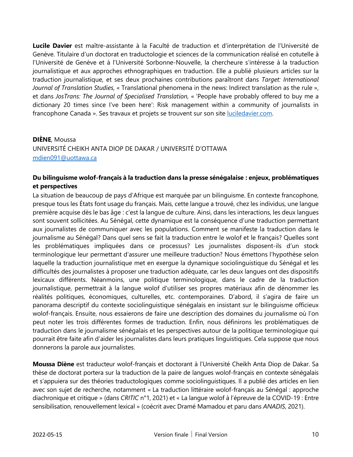**Lucile Davier** est maître-assistante à la Faculté de traduction et d'interprétation de l'Université de Genève. Titulaire d'un doctorat en traductologie et sciences de la communication réalisé en cotutelle à l'Université de Genève et à l'Université Sorbonne-Nouvelle, la chercheure s'intéresse à la traduction journalistique et aux approches ethnographiques en traduction. Elle a publié plusieurs articles sur la traduction journalistique, et ses deux prochaines contributions paraîtront dans *Target: International Journal of Translation Studies,* « Translational phenomena in the news: Indirect translation as the rule », et dans *JosTrans: The Journal of Specialised Translation,* « 'People have probably offered to buy me a dictionary 20 times since I've been here': Risk management within a community of journalists in francophone Canada ». Ses travaux et projets se trouvent sur son site [luciledavier.com.](mailto:http://luciledavier.com/)

**DIÈNE**, Moussa UNIVERSITÉ CHEIKH ANTA DIOP DE DAKAR / UNIVERSITÉ D'OTTAWA [mdien091@uottawa.ca](mailto:mdien091@uottawa.ca)

### **Du bilinguisme wolof-français à la traduction dans la presse sénégalaise : enjeux, problématiques et perspectives**

La situation de beaucoup de pays d'Afrique est marquée par un bilinguisme. En contexte francophone, presque tous les États font usage du français. Mais, cette langue a trouvé, chez les individus, une langue première acquise dès le bas âge : c'est la langue de culture. Ainsi, dans les interactions, les deux langues sont souvent sollicitées. Au Sénégal, cette dynamique est la conséquence d'une traduction permettant aux journalistes de communiquer avec les populations. Comment se manifeste la traduction dans le journalisme au Sénégal? Dans quel sens se fait la traduction entre le wolof et le français? Quelles sont les problématiques impliquées dans ce processus? Les journalistes disposent-ils d'un stock terminologique leur permettant d'assurer une meilleure traduction? Nous émettons l'hypothèse selon laquelle la traduction journalistique met en exergue la dynamique sociolinguistique du Sénégal et les difficultés des journalistes à proposer une traduction adéquate, car les deux langues ont des dispositifs lexicaux différents. Néanmoins, une politique terminologique, dans le cadre de la traduction journalistique, permettrait à la langue wolof d'utiliser ses propres matériaux afin de dénommer les réalités politiques, économiques, culturelles, etc. contemporaines. D'abord, il s'agira de faire un panorama descriptif du contexte sociolinguistique sénégalais en insistant sur le bilinguisme officieux wolof-français. Ensuite, nous essaierons de faire une description des domaines du journalisme où l'on peut noter les trois différentes formes de traduction. Enfin, nous définirons les problématiques de traduction dans le journalisme sénégalais et les perspectives autour de la politique terminologique qui pourrait être faite afin d'aider les journalistes dans leurs pratiques linguistiques. Cela suppose que nous donnerons la parole aux journalistes.

**Moussa Diène** est traducteur wolof-français et doctorant à l'Université Cheikh Anta Diop de Dakar. Sa thèse de doctorat portera sur la traduction de la paire de langues wolof-français en contexte sénégalais et s'appuiera sur des théories traductologiques comme sociolinguistiques. Il a publié des articles en lien avec son sujet de recherche, notamment « La traduction littéraire wolof-français au Sénégal : approche diachronique et critique » (dans *CRITIC* n°1, 2021) et « La langue wolof à l'épreuve de la COVID-19 : Entre sensibilisation, renouvellement lexical » (coécrit avec Dramé Mamadou et paru dans *ANADIS*, 2021).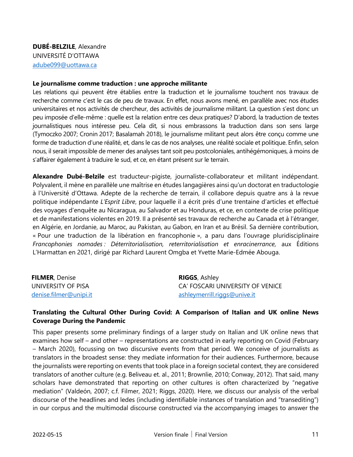# **DUBÉ-BELZILE**, Alexandre UNIVERSITÉ D'OTTAWA [adube099@uottawa.ca](mailto:adube099@uottawa.ca)

#### **Le journalisme comme traduction : une approche militante**

Les relations qui peuvent être établies entre la traduction et le journalisme touchent nos travaux de recherche comme c'est le cas de peu de travaux. En effet, nous avons mené, en parallèle avec nos études universitaires et nos activités de chercheur, des activités de journalisme militant. La question s'est donc un peu imposée d'elle-même : quelle est la relation entre ces deux pratiques? D'abord, la traduction de textes journalistiques nous intéresse peu. Cela dit, si nous embrassons la traduction dans son sens large (Tymoczko 2007; Cronin 2017; Basalamah 2018), le journalisme militant peut alors être conçu comme une forme de traduction d'une réalité, et, dans le cas de nos analyses, une réalité sociale et politique. Enfin, selon nous, il serait impossible de mener des analyses tant soit peu postcoloniales, antihégémoniques, à moins de s'affairer également à traduire le sud, et ce, en étant présent sur le terrain.

**Alexandre Dubé-Belzile** est traducteur-pigiste, journaliste-collaborateur et militant indépendant. Polyvalent, il mène en parallèle une maîtrise en études langagières ainsi qu'un doctorat en traductologie à l'Université d'Ottawa. Adepte de la recherche de terrain, il collabore depuis quatre ans à la revue politique indépendante *L'Esprit Libre*, pour laquelle il a écrit près d'une trentaine d'articles et effectué des voyages d'enquête au Nicaragua, au Salvador et au Honduras, et ce, en contexte de crise politique et de manifestations violentes en 2019. Il a présenté ses travaux de recherche au Canada et à l'étranger, en Algérie, en Jordanie, au Maroc, au Pakistan, au Gabon, en Iran et au Brésil. Sa dernière contribution, « Pour une traduction de la libération en francophonie », a paru dans l'ouvrage pluridisciplinaire *Francophonies nomades : Déterritorialisation, reterritorialisation et enracinerrance,* aux Éditions L'Harmattan en 2021, dirigé par Richard Laurent Omgba et Yvette Marie-Edmée Abouga.

| <b>FILMER, Denise</b>  | <b>RIGGS, Ashley</b>             |
|------------------------|----------------------------------|
| UNIVERSITY OF PISA     | CA' FOSCARI UNIVERSITY OF VENICE |
| denise.filmer@unipi.it | ashleymerrill.riggs@unive.it     |

### **Translating the Cultural Other During Covid: A Comparison of Italian and UK online News Coverage During the Pandemic**

This paper presents some preliminary findings of a larger study on Italian and UK online news that examines how self – and other – representations are constructed in early reporting on Covid (February – March 2020), focussing on two discursive events from that period. We conceive of journalists as translators in the broadest sense: they mediate information for their audiences. Furthermore, because the journalists were reporting on events that took place in a foreign societal context, they are considered translators of another culture (e.g. Beliveau et. al., 2011; Brownlie, 2010; Conway, 2012). That said, many scholars have demonstrated that reporting on other cultures is often characterized by "negative mediation" (Valdeón, 2007; c.f. Filmer, 2021; Riggs, 2020). Here, we discuss our analysis of the verbal discourse of the headlines and ledes (including identifiable instances of translation and "transediting") in our corpus and the multimodal discourse constructed via the accompanying images to answer the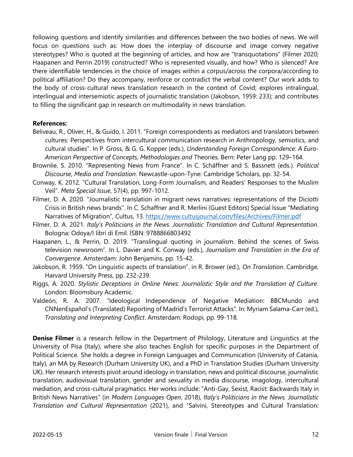following questions and identify similarities and differences between the two bodies of news. We will focus on questions such as: How does the interplay of discourse and image convey negative stereotypes? Who is quoted at the beginning of articles, and how are "transquotations" (Filmer 2020; Haapanen and Perrin 2019) constructed? Who is represented visually, and how? Who is silenced? Are there identifiable tendencies in the choice of images within a corpus/across the corpora/according to political affiliation? Do they accompany, reinforce or contradict the verbal content? Our work adds to the body of cross-cultural news translation research in the context of Covid; explores intralingual, interlingual and intersemiotic aspects of journalistic translation (Jakobson, 1959: 233); and contributes to filling the significant gap in research on multimodality in news translation.

### **References:**

- Beliveau, R., Oliver, H., & Guido, I. 2011. "Foreign correspondents as mediators and translators between cultures: Perspectives from intercultural communication research in Anthropology, semiotics, and cultural studies". In P. Gross, & G. G. Kopper (eds.), *Understanding Foreign Correspondence: A Euro-American Perspective of Concepts, Methodologies and* Theories. Bern: Peter Lang pp. 129–164.
- Brownlie, S. 2010. "Representing News from France". In C. Schäffner and S. Bassnett (eds.). *Political Discourse, Media and Translation*. Newcastle-upon-Tyne: Cambridge Scholars, pp. 32-54.
- Conway, K. 2012. "Cultural Translation, Long-Form Journalism, and Readers' Responses to the Muslim Veil". *Meta Special Issue*, 57(4), pp. 997-1012.
- Filmer, D. A. 2020. "Journalistic translation in migrant news narratives: representations of the Diciotti Crisis in British news brands". In C. Schaffner and R. Merlini (Guest Editors) Special Issue "Mediating Narratives of Migration", Cultus, 13. <https://www.cultusjournal.com/files/Archives/Filmer.pdf>
- Filmer, D. A. 2021. *Italy's Politicians in the News. Journalistic Translation and Cultural Representation*. Bologna: Odoya/I libri di Emil. ISBN: 9788866803492
- Haapanen, L., & Perrin, D. 2019. "Translingual quoting in journalism. Behind the scenes of Swiss television newsroom". In L. Davier and K. Conway (eds.), *Journalism and Translation in the Era of Convergence*. Amsterdam: John Benjamins, pp. 15-42.
- Jakobson, R. 1959. "On Linguistic aspects of translation". in R. Brower (ed.), *On Translation*. Cambridge, Harvard University Press, pp. 232-239.
- Riggs, A. 2020. *Stylistic Deceptions in Online News: Journalistic Style and the Translation of Culture*. London: Bloomsbury Academic.
- Valdeón, R. A. 2007. "Ideological Independence of Negative Mediation: BBCMundo and CNNenEspañol's (Translated) Reporting of Madrid's Terrorist Attacks". In: Myriam Salama-Carr (ed.), *Translating and Interpreting Conflict*. Amsterdam: Rodopi, pp. 99-118.

**Denise Filmer** is a research fellow in the Department of Philology, Literature and Linguistics at the University of Pisa (Italy), where she also teaches English for specific purposes in the Department of Political Science. She holds a degree in Foreign Languages and Communication (University of Catania, Italy), an MA by Research (Durham University UK), and a PhD in Translation Studies (Durham University UK). Her research interests pivot around ideology in translation, news and political discourse, journalistic translation, audiovisual translation, gender and sexuality in media discourse, imagology, intercultural mediation, and cross-cultural pragmatics. Her works include: "Anti-Gay, Sexist, Racist: Backwards Italy in British News Narratives" (in *Modern Languages Open*, 2018), *Italy's Politicians in the News. Journalistic Translation and Cultural Representation* (2021), and "Salvini, Stereotypes and Cultural Translation: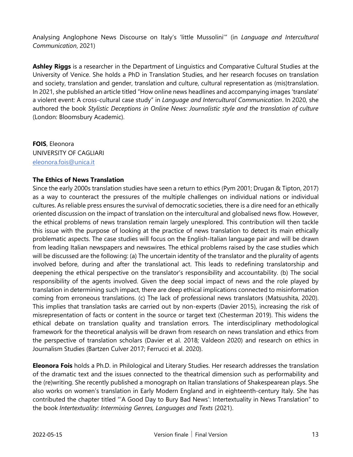Analysing Anglophone News Discourse on Italy's 'little Mussolini'" (in *Language and Intercultural Communication*, 2021)

**Ashley Riggs** is a researcher in the Department of Linguistics and Comparative Cultural Studies at the University of Venice. She holds a PhD in Translation Studies, and her research focuses on translation and society, translation and gender, translation and culture, cultural representation as (mis)translation. In 2021, she published an article titled "How online news headlines and accompanying images 'translate' a violent event: A cross-cultural case study" in *Language and Intercultural Communication*. In 2020, she authored the book *Stylistic Deceptions in Online News: Journalistic style and the translation of culture* (London: Bloomsbury Academic).

**FOIS**, Eleonora UNIVERSITY OF CAGLIARI [eleonora.fois@unica.it](mailto:eleonora.fois@unica.it)

## **The Ethics of News Translation**

Since the early 2000s translation studies have seen a return to ethics (Pym 2001; Drugan & Tipton, 2017) as a way to counteract the pressures of the multiple challenges on individual nations or individual cultures. As reliable press ensures the survival of democratic societies, there is a dire need for an ethically oriented discussion on the impact of translation on the intercultural and globalised news flow. However, the ethical problems of news translation remain largely unexplored. This contribution will then tackle this issue with the purpose of looking at the practice of news translation to detect its main ethically problematic aspects. The case studies will focus on the English-Italian language pair and will be drawn from leading Italian newspapers and newswires. The ethical problems raised by the case studies which will be discussed are the following: (a) The uncertain identity of the translator and the plurality of agents involved before, during and after the translational act. This leads to redefining translatorship and deepening the ethical perspective on the translator's responsibility and accountability. (b) The social responsibility of the agents involved. Given the deep social impact of news and the role played by translation in determining such impact, there are deep ethical implications connected to misinformation coming from erroneous translations. (c) The lack of professional news translators (Matsushita, 2020). This implies that translation tasks are carried out by non-experts (Davier 2015), increasing the risk of misrepresentation of facts or content in the source or target text (Chesterman 2019). This widens the ethical debate on translation quality and translation errors. The interdisciplinary methodological framework for the theoretical analysis will be drawn from research on news translation and ethics from the perspective of translation scholars (Davier et al. 2018; Valdeon 2020) and research on ethics in Journalism Studies (Bartzen Culver 2017; Ferrucci et al. 2020).

**Eleonora Fois** holds a Ph.D. in Philological and Literary Studies. Her research addresses the translation of the dramatic text and the issues connected to the theatrical dimension such as performability and the (re)writing. She recently published a monograph on Italian translations of Shakespearean plays. She also works on women's translation in Early Modern England and in eighteenth-century Italy. She has contributed the chapter titled "'A Good Day to Bury Bad News': Intertextuality in News Translation" to the book *Intertextuality: Intermixing Genres, Languages and Texts* (2021).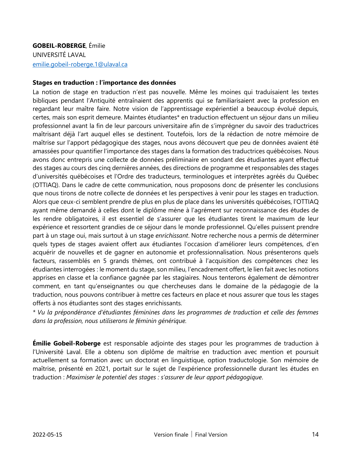# **GOBEIL-ROBERGE**, Émilie UNIVERSITÉ LAVAL [emilie.gobeil-roberge.1@ulaval.ca](mailto:emilie.gobeil-roberge.1@ulaval.ca)

#### **Stages en traduction : l'importance des données**

La notion de stage en traduction n'est pas nouvelle. Même les moines qui traduisaient les textes bibliques pendant l'Antiquité entraînaient des apprentis qui se familiarisaient avec la profession en regardant leur maître faire. Notre vision de l'apprentissage expérientiel a beaucoup évolué depuis, certes, mais son esprit demeure. Maintes étudiantes\* en traduction effectuent un séjour dans un milieu professionnel avant la fin de leur parcours universitaire afin de s'imprégner du savoir des traductrices maîtrisant déjà l'art auquel elles se destinent. Toutefois, lors de la rédaction de notre mémoire de maîtrise sur l'apport pédagogique des stages, nous avons découvert que peu de données avaient été amassées pour quantifier l'importance des stages dans la formation des traductrices québécoises. Nous avons donc entrepris une collecte de données préliminaire en sondant des étudiantes ayant effectué des stages au cours des cinq dernières années, des directions de programme et responsables des stages d'universités québécoises et l'Ordre des traducteurs, terminologues et interprètes agréés du Québec (OTTIAQ). Dans le cadre de cette communication, nous proposons donc de présenter les conclusions que nous tirons de notre collecte de données et les perspectives à venir pour les stages en traduction. Alors que ceux-ci semblent prendre de plus en plus de place dans les universités québécoises, l'OTTIAQ ayant même demandé à celles dont le diplôme mène à l'agrément sur reconnaissance des études de les rendre obligatoires, il est essentiel de s'assurer que les étudiantes tirent le maximum de leur expérience et ressortent grandies de ce séjour dans le monde professionnel. Qu'elles puissent prendre part à un stage oui, mais surtout à un stage *enrichissant*. Notre recherche nous a permis de déterminer quels types de stages avaient offert aux étudiantes l'occasion d'améliorer leurs compétences, d'en acquérir de nouvelles et de gagner en autonomie et professionnalisation. Nous présenterons quels facteurs, rassemblés en 5 grands thèmes, ont contribué à l'acquisition des compétences chez les étudiantes interrogées : le moment du stage, son milieu, l'encadrement offert, le lien fait avec les notions apprises en classe et la confiance gagnée par les stagiaires. Nous tenterons également de démontrer comment, en tant qu'enseignantes ou que chercheuses dans le domaine de la pédagogie de la traduction, nous pouvons contribuer à mettre ces facteurs en place et nous assurer que tous les stages offerts à nos étudiantes sont des stages enrichissants.

*\* Vu la prépondérance d'étudiantes féminines dans les programmes de traduction et celle des femmes dans la profession, nous utiliserons le féminin générique.*

**Émilie Gobeil-Roberge** est responsable adjointe des stages pour les programmes de traduction à l'Université Laval. Elle a obtenu son diplôme de maîtrise en traduction avec mention et poursuit actuellement sa formation avec un doctorat en linguistique, option traductologie. Son mémoire de maîtrise, présenté en 2021, portait sur le sujet de l'expérience professionnelle durant les études en traduction : *Maximiser le potentiel des stages : s'assurer de leur apport pédagogique*.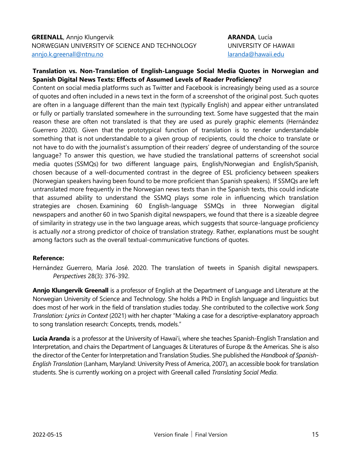## **GREENALL**, Annjo Klungervik NORWEGIAN UNIVERSITY OF SCIENCE AND TECHNOLOGY [annjo.k.greenall@ntnu.no](mailto:annjo.k.greenall@ntnu.no)

**ARANDA**, Lucía UNIVERSITY OF HAWAII [laranda@hawaii.edu](mailto:laranda@hawaii.edu)

## **Translation vs. Non-Translation of English-Language Social Media Quotes in Norwegian and Spanish Digital News Texts: Effects of Assumed Levels of Reader Proficiency?**

Content on social media platforms such as Twitter and Facebook is increasingly being used as a source of quotes and often included in a news text in the form of a screenshot of the original post. Such quotes are often in a language different than the main text (typically English) and appear either untranslated or fully or partially translated somewhere in the surrounding text. Some have suggested that the main reason these are often not translated is that they are used as purely graphic elements (Hernández Guerrero 2020). Given that the prototypical function of translation is to render understandable something that is not understandable to a given group of recipients, could the choice to translate or not have to do with the journalist's assumption of their readers' degree of understanding of the source language? To answer this question, we have studied the translational patterns of screenshot social media quotes (SSMQs) for two different language pairs, English/Norwegian and English/Spanish, chosen because of a well-documented contrast in the degree of ESL proficiency between speakers (Norwegian speakers having been found to be more proficient than Spanish speakers). If SSMQs are left untranslated more frequently in the Norwegian news texts than in the Spanish texts, this could indicate that assumed ability to understand the SSMQ plays some role in influencing which translation strategies are chosen. Examining 60 English-language SSMQs in three Norwegian digital newspapers and another 60 in two Spanish digital newspapers, we found that there is a sizeable degree of similarity in strategy use in the two language areas, which suggests that source-language proficiency is actually *not* a strong predictor of choice of translation strategy. Rather, explanations must be sought among factors such as the overall textual-communicative functions of quotes.

#### **Reference:**

Hernández Guerrero, María José. 2020. The translation of tweets in Spanish digital newspapers. *Perspectives* 28(3): 376-392.

**Annjo Klungervik Greenall** is a professor of English at the Department of Language and Literature at the Norwegian University of Science and Technology. She holds a PhD in English language and linguistics but does most of her work in the field of translation studies today. She contributed to the collective work *Song Translation: Lyrics in Context* (2021) with her chapter "Making a case for a descriptive-explanatory approach to song translation research: Concepts, trends, models."

**Lucía Aranda** is a professor at the University of Hawai'i, where she teaches Spanish-English Translation and Interpretation, and chairs the Department of Languages & Literatures of Europe & the Americas. She is also the director of the Center for Interpretation and Translation Studies. She published the *Handbook of Spanish-English Translation* (Lanham, Maryland: University Press of America, 2007), an accessible book for translation students. She is currently working on a project with Greenall called *Translating Social Media*.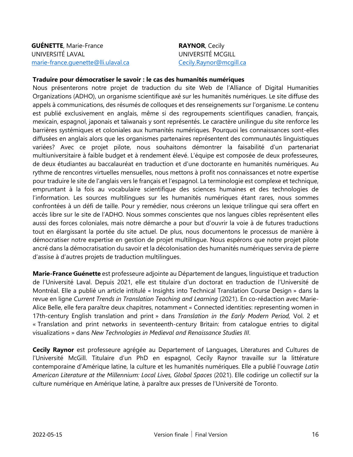**RAYNOR**, Cecily UNIVERSITÉ MCGILL [Cecily.Raynor@mcgill.ca](mailto:Cecily.Raynor@mcgill.ca)

#### **Traduire pour démocratiser le savoir : le cas des humanités numériques**

Nous présenterons notre projet de traduction du site Web de l'Alliance of Digital Humanities Organizations (ADHO), un organisme scientifique axé sur les humanités numériques. Le site diffuse des appels à communications, des résumés de colloques et des renseignements sur l'organisme. Le contenu est publié exclusivement en anglais, même si des regroupements scientifiques canadien, français, mexicain, espagnol, japonais et taïwanais y sont représentés. Le caractère unilingue du site renforce les barrières systémiques et coloniales aux humanités numériques. Pourquoi les connaissances sont-elles diffusées en anglais alors que les organismes partenaires représentent des communautés linguistiques variées? Avec ce projet pilote, nous souhaitons démontrer la faisabilité d'un partenariat multiuniversitaire à faible budget et à rendement élevé. L'équipe est composée de deux professeures, de deux étudiantes au baccalauréat en traduction et d'une doctorante en humanités numériques. Au rythme de rencontres virtuelles mensuelles, nous mettons à profit nos connaissances et notre expertise pour traduire le site de l'anglais vers le français et l'espagnol. La terminologie est complexe et technique, empruntant à la fois au vocabulaire scientifique des sciences humaines et des technologies de l'information. Les sources multilingues sur les humanités numériques étant rares, nous sommes confrontées à un défi de taille. Pour y remédier, nous créerons un lexique trilingue qui sera offert en accès libre sur le site de l'ADHO. Nous sommes conscientes que nos langues cibles représentent elles aussi des forces coloniales, mais notre démarche a pour but d'ouvrir la voie à de futures traductions tout en élargissant la portée du site actuel. De plus, nous documentons le processus de manière à démocratiser notre expertise en gestion de projet multilingue. Nous espérons que notre projet pilote ancré dans la démocratisation du savoir et la décolonisation des humanités numériques servira de pierre d'assise à d'autres projets de traduction multilingues.

**Marie-France Guénette** est professeure adjointe au Département de langues, linguistique et traduction de l'Université Laval. Depuis 2021, elle est titulaire d'un doctorat en traduction de l'Université de Montréal. Elle a publié un article intitulé « Insights into Technical Translation Course Design » dans la revue en ligne *Current Trends in Translation Teaching and Learning* (2021). En co-rédaction avec Marie-Alice Belle, elle fera paraître deux chapitres, notamment « Connected identities: representing women in 17th-century English translation and print » dans *Translation in the Early Modern Period,* Vol. 2 et « Translation and print networks in seventeenth-century Britain: from catalogue entries to digital visualizations » dans *New Technologies in Medieval and Renaissance Studies III*.

**Cecily Raynor** est professeure agrégée au Departement of Languages, Literatures and Cultures de l'Université McGill. Titulaire d'un PhD en espagnol, Cecily Raynor travaille sur la littérature contemporaine d'Amérique latine, la culture et les humanités numériques. Elle a publié l'ouvrage *Latin American Literature at the Millennium: Local Lives, Global Spaces* (2021). Elle codirige un collectif sur la culture numérique en Amérique latine, à paraître aux presses de l'Université de Toronto.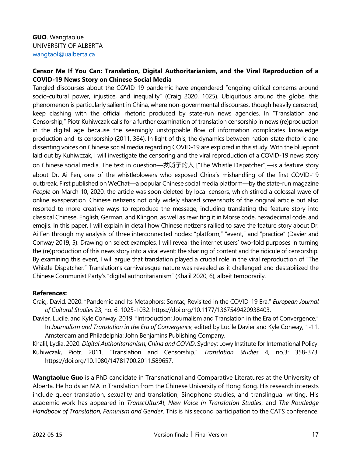### **GUO**, Wangtaolue UNIVERSITY OF ALBERTA [wangtaol@ualberta.ca](mailto:wangtaol@ualberta.ca)

## **Censor Me If You Can: Translation, Digital Authoritarianism, and the Viral Reproduction of a COVID-19 News Story on Chinese Social Media**

Tangled discourses about the COVID-19 pandemic have engendered "ongoing critical concerns around socio-cultural power, injustice, and inequality" (Craig 2020, 1025). Ubiquitous around the globe, this phenomenon is particularly salient in China, where non-governmental discourses, though heavily censored, keep clashing with the official rhetoric produced by state-run news agencies. In "Translation and Censorship," Piotr Kuhiwczak calls for a further examination of translation censorship in news (re)production in the digital age because the seemingly unstoppable flow of information complicates knowledge production and its censorship (2011, 364). In light of this, the dynamics between nation-state rhetoric and dissenting voices on Chinese social media regarding COVID-19 are explored in this study. With the blueprint laid out by Kuhiwczak, I will investigate the censoring and the viral reproduction of a COVID-19 news story on Chinese social media. The text in question—发哨子的人 ["The Whistle Dispatcher"]—is a feature story about Dr. Ai Fen, one of the whistleblowers who exposed China's mishandling of the first COVID-19 outbreak. First published on WeChat—a popular Chinese social media platform—by the state-run magazine *People* on March 10, 2020, the article was soon deleted by local censors, which stirred a colossal wave of online exasperation. Chinese netizens not only widely shared screenshots of the original article but also resorted to more creative ways to reproduce the message, including translating the feature story into classical Chinese, English, German, and Klingon, as well as rewriting it in Morse code, hexadecimal code, and emojis. In this paper, I will explain in detail how Chinese netizens rallied to save the feature story about Dr. Ai Fen through my analysis of three interconnected nodes: "platform," "event," and "practice" (Davier and Conway 2019, 5). Drawing on select examples, I will reveal the internet users' two-fold purposes in turning the (re)production of this news story into a viral event: the sharing of content and the ridicule of censorship. By examining this event, I will argue that translation played a crucial role in the viral reproduction of "The Whistle Dispatcher." Translation's carnivalesque nature was revealed as it challenged and destabilized the Chinese Communist Party's "digital authoritarianism" (Khalil 2020, 6), albeit temporarily.

#### **References:**

Craig, David. 2020. "Pandemic and Its Metaphors: Sontag Revisited in the COVID-19 Era." *European Journal of Cultural Studies* 23, no. 6: 1025-1032. [https://doi.org/10.1177/1367549420938403.](https://doi.org/10.1177/1367549420938403)

Davier, Lucile, and Kyle Conway. 2019. "Introduction: Journalism and Translation in the Era of Convergence." In *Journalism and Translation in the Era of Convergence*, edited by Lucile Davier and Kyle Conway, 1-11. Amsterdam and Philadelphia: John Benjamins Publishing Company.

Khalil, Lydia. 2020. *Digital Authoritarianism, China and COVID*. Sydney: Lowy Institute for International Policy. Kuhiwczak, Piotr. 2011. "Translation and Censorship." *Translation Studies* 4, no.3: 358-373. [https://doi.org/10.1080/14781700.2011.589657.](https://doi.org/10.1080/14781700.2011.589657)

**Wangtaolue Guo** is a PhD candidate in Transnational and Comparative Literatures at the University of Alberta. He holds an MA in Translation from the Chinese University of Hong Kong. His research interests include queer translation, sexuality and translation, Sinophone studies, and translingual writing. His academic work has appeared in *TranscUlturAl*, *New Voice in Translation Studies*, and *The Routledge Handbook of Translation, Feminism and Gender*. This is his second participation to the CATS conference.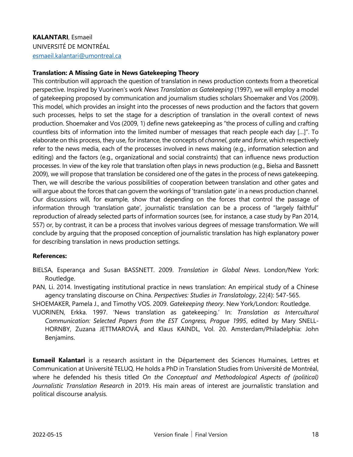# **KALANTARI**, Esmaeil UNIVERSITÉ DE MONTRÉAL [esmaeil.kalantari@umontreal.ca](mailto:esmaeil.kalantari@umontreal.ca)

### **Translation: A Missing Gate in News Gatekeeping Theory**

This contribution will approach the question of translation in news production contexts from a theoretical perspective. Inspired by Vuorinen's work *News Translation as Gatekeeping* (1997), we will employ a model of gatekeeping proposed by communication and journalism studies scholars Shoemaker and Vos (2009). This model, which provides an insight into the processes of news production and the factors that govern such processes, helps to set the stage for a description of translation in the overall context of news production. Shoemaker and Vos (2009, 1) define news gatekeeping as "the process of culling and crafting countless bits of information into the limited number of messages that reach people each day […]". To elaborate on this process, they use, for instance, the concepts of *channel*, *gate* and *force*, which respectively refer to the news media, each of the processes involved in news making (e.g., information selection and editing) and the factors (e.g., organizational and social constraints) that can influence news production processes. In view of the key role that translation often plays in news production (e.g., Bielsa and Bassnett 2009), we will propose that translation be considered one of the gates in the process of news gatekeeping. Then, we will describe the various possibilities of cooperation between translation and other gates and will argue about the forces that can govern the workings of 'translation gate' in a news production channel. Our discussions will, for example, show that depending on the forces that control the passage of information through 'translation gate', journalistic translation can be a process of "largely faithful" reproduction of already selected parts of information sources (see, for instance, a case study by Pan 2014, 557) or, by contrast, it can be a process that involves various degrees of message transformation. We will conclude by arguing that the proposed conception of journalistic translation has high explanatory power for describing translation in news production settings.

#### **References:**

- BIELSA, Esperança and Susan BASSNETT. 2009. *Translation in Global News*. London/New York: Routledge.
- PAN, Li. 2014. Investigating institutional practice in news translation: An empirical study of a Chinese agency translating discourse on China. *Perspectives: Studies in Translatology*, 22(4): 547-565.

SHOEMAKER, Pamela J., and Timothy VOS. 2009. *Gatekeeping theory*. New York/London: Routledge.

VUORINEN, Erkka. 1997. 'News translation as gatekeeping.' In: *Translation as Intercultural Communication: Selected Papers from the EST Congress, Prague 1995*, edited by Mary SNELL-HORNBY, Zuzana JETTMAROVÁ, and Klaus KAINDL, Vol. 20. Amsterdam/Philadelphia: John Benjamins.

**Esmaeil Kalantari** is a research assistant in the Département des Sciences Humaines, Lettres et Communication at Université TELUQ. He holds a PhD in Translation Studies from Université de Montréal, where he defended his thesis titled *On the Conceptual and Methodological Aspects of (political) Journalistic Translation Research* in 2019. His main areas of interest are journalistic translation and political discourse analysis.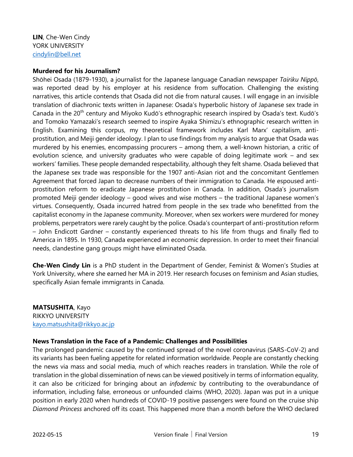### **LIN**, Che-Wen Cindy YORK UNIVERSITY [cindylin@bell.net](mailto:cindylin@bell.net)

#### **Murdered for his Journalism?**

Shōhei Osada (1879-1930), a journalist for the Japanese language Canadian newspaper *Tairiku Nippō*, was reported dead by his employer at his residence from suffocation. Challenging the existing narratives, this article contends that Osada did not die from natural causes. I will engage in an invisible translation of diachronic texts written in Japanese: Osada's hyperbolic history of Japanese sex trade in Canada in the 20<sup>th</sup> century and Miyoko Kudō's ethnographic research inspired by Osada's text. Kudō's and Tomoko Yamazaki's research seemed to inspire Ayaka Shimizu's ethnographic research written in English. Examining this corpus, my theoretical framework includes Karl Marx' capitalism, antiprostitution, and Meiji gender ideology. I plan to use findings from my analysis to argue that Osada was murdered by his enemies, encompassing procurers – among them, a well-known historian, a critic of evolution science, and university graduates who were capable of doing legitimate work – and sex workers' families. These people demanded respectability, although they felt shame. Osada believed that the Japanese sex trade was responsible for the 1907 anti-Asian riot and the concomitant Gentlemen Agreement that forced Japan to decrease numbers of their immigration to Canada. He espoused antiprostitution reform to eradicate Japanese prostitution in Canada. In addition, Osada's journalism promoted Meiji gender ideology – good wives and wise mothers – the traditional Japanese women's virtues. Consequently, Osada incurred hatred from people in the sex trade who benefitted from the capitalist economy in the Japanese community. Moreover, when sex workers were murdered for money problems, perpetrators were rarely caught by the police. Osada's counterpart of anti-prostitution reform – John Endicott Gardner – constantly experienced threats to his life from thugs and finally fled to America in 1895. In 1930, Canada experienced an economic depression. In order to meet their financial needs, clandestine gang groups might have eliminated Osada.

**Che-Wen Cindy Lin** is a PhD student in the Department of Gender, Feminist & Women's Studies at York University, where she earned her MA in 2019. Her research focuses on feminism and Asian studies, specifically Asian female immigrants in Canada.

**MATSUSHITA**, Kayo RIKKYO UNIVERSITY [kayo.matsushita@rikkyo.ac.jp](mailto:kayo.matsushita@rikkyo.ac.jp)

#### **News Translation in the Face of a Pandemic: Challenges and Possibilities**

The prolonged pandemic caused by the continued spread of the novel coronavirus (SARS-CoV-2) and its variants has been fueling appetite for related information worldwide. People are constantly checking the news via mass and social media, much of which reaches readers in translation. While the role of translation in the global dissemination of news can be viewed positively in terms of information equality, it can also be criticized for bringing about an *infodemic* by contributing to the overabundance of information, including false, erroneous or unfounded claims (WHO, 2020). Japan was put in a unique position in early 2020 when hundreds of COVID-19 positive passengers were found on the cruise ship *Diamond Princess* anchored off its coast. This happened more than a month before the WHO declared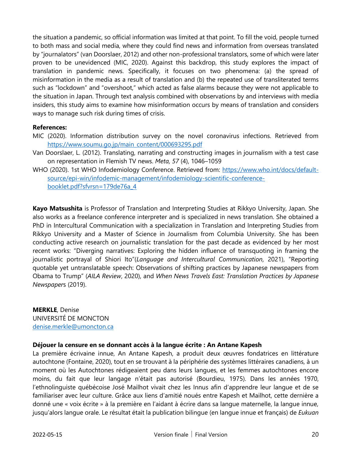the situation a pandemic, so official information was limited at that point. To fill the void, people turned to both mass and social media, where they could find news and information from overseas translated by "journalators" (van Doorslaer, 2012) and other non-professional translators, some of which were later proven to be unevidenced (MIC, 2020). Against this backdrop, this study explores the impact of translation in pandemic news. Specifically, it focuses on two phenomena: (a) the spread of misinformation in the media as a result of translation and (b) the repeated use of transliterated terms such as "lockdown" and "overshoot," which acted as false alarms because they were not applicable to the situation in Japan. Through text analysis combined with observations by and interviews with media insiders, this study aims to examine how misinformation occurs by means of translation and considers ways to manage such risk during times of crisis.

#### **References:**

- MIC (2020). Information distribution survey on the novel coronavirus infections. Retrieved from [https://www.soumu.go.jp/main\\_content/000693295.pdf](https://www.soumu.go.jp/main_content/000693295.pdf)
- Van Doorslaer, L. (2012). Translating, narrating and constructing images in journalism with a test case on representation in Flemish TV news. *Meta, 57* (4), 1046–1059
- WHO (2020). 1st WHO Infodemiology Conference. Retrieved from: [https://www.who.int/docs/default](https://www.who.int/docs/default-source/epi-win/infodemic-management/infodemiology-scientific-conference-booklet.pdf?sfvrsn=179de76a_4)[source/epi-win/infodemic-management/infodemiology-scientific-conference](https://www.who.int/docs/default-source/epi-win/infodemic-management/infodemiology-scientific-conference-booklet.pdf?sfvrsn=179de76a_4)[booklet.pdf?sfvrsn=179de76a\\_4](https://www.who.int/docs/default-source/epi-win/infodemic-management/infodemiology-scientific-conference-booklet.pdf?sfvrsn=179de76a_4)

**Kayo Matsushita** is Professor of Translation and Interpreting Studies at Rikkyo University, Japan. She also works as a freelance conference interpreter and is specialized in news translation. She obtained a PhD in Intercultural Communication with a specialization in Translation and Interpreting Studies from Rikkyo University and a Master of Science in Journalism from Columbia University. She has been conducting active research on journalistic translation for the past decade as evidenced by her most recent works: "Diverging narratives: Exploring the hidden influence of transquoting in framing the journalistic portrayal of Shiori Ito"(*Language and Intercultural Communication,* 2021), "Reporting quotable yet untranslatable speech: Observations of shifting practices by Japanese newspapers from Obama to Trump" (*AILA Review*, 2020), and *When News Travels East: Translation Practices by Japanese Newspaper*s (2019).

**MERKLE**, Denise UNIVERSITÉ DE MONCTON [denise.merkle@umoncton.ca](mailto:denise.merkle@umoncton.ca)

#### **Déjouer la censure en se donnant accès à la langue écrite : An Antane Kapesh**

La première écrivaine innue, An Antane Kapesh, a produit deux œuvres fondatrices en littérature autochtone (Fontaine, 2020), tout en se trouvant à la périphérie des systèmes littéraires canadiens, à un moment où les Autochtones rédigeaient peu dans leurs langues, et les femmes autochtones encore moins, du fait que leur langage n'était pas autorisé (Bourdieu, 1975). Dans les années 1970, l'ethnolinguiste québécoise José Mailhot vivait chez les Innus afin d'apprendre leur langue et de se familiariser avec leur culture. Grâce aux liens d'amitié noués entre Kapesh et Mailhot, cette dernière a donné une « voix écrite » à la première en l'aidant à écrire dans sa langue maternelle, la langue innue, jusqu'alors langue orale. Le résultat était la publication bilingue (en langue innue et français) de *Eukuan*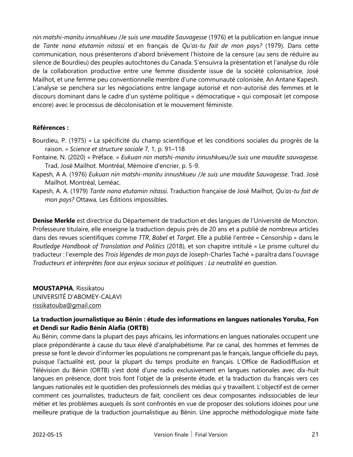*nin matshi-manitu innushkueu* /*Je suis une maudite Sauvagesse* (1976) et la publication en langue innue de *Tante nana etutamin nitassi* et en français de *Qu'as-tu fait de mon pays?* (1979). Dans cette communication, nous présenterons d'abord brièvement l'histoire de la censure (au sens de réduire au silence de Bourdieu) des peuples autochtones du Canada. S'ensuivra la présentation et l'analyse du rôle de la collaboration productive entre une femme dissidente issue de la société colonisatrice, José Mailhot, et une femme peu conventionnelle membre d'une communauté colonisée, An Antane Kapesh. L'analyse se penchera sur les négociations entre langage autorisé et non-autorisé des femmes et le discours dominant dans le cadre d'un système politique « démocratique » qui composait (et compose encore) avec le processus de décolonisation et le mouvement féministe.

## **Références :**

- Bourdieu, P. (1975) « La spécificité du champ scientifique et les conditions sociales du progrès de la raison. » *Science et structure sociale* 7, 1, p. 91–118
- Fontaine, N. (2020) « Préface. » *Eukuan nin matshi-manitu innushkueu/Je suis une maudite sauvagesse.* Trad. José Mailhot. Montréal, Mémoire d'encrier, p. 5-9.
- Kapesh, A A. (1976) *Eukuan nin matshi-manitu innushkueu* /*Je suis une maudite Sauvagesse*. Trad. José Mailhot. Montréal, Leméac.
- Kapesh, A. A. (1979) *Tante nana etutamin nitassi*. Traduction française de José Mailhot, *Qu'as-tu fait de mon pays?* Ottawa, Les Éditions impossibles.

**Denise Merkle** est directrice du Département de traduction et des langues de l'Université de Moncton. Professeure titulaire, elle enseigne la traduction depuis près de 20 ans et a publié de nombreux articles dans des revues scientifiques comme *TTR*, *Babel* et *Target*. Elle a publié l'entrée « Censorship » dans le *Routledge Handbook of Translation and Politics* (2018), et son chapitre intitulé « Le prisme culturel du traducteur : l'exemple des *Trois légendes de mon pays* de Joseph-Charles Taché » paraîtra dans l'ouvrage *Traducteurs et interprètes face aux enjeux sociaux et politiques : La neutralité en question*.

**MOUSTAPHA**, Rissikatou UNIVERSITÉ D'ABOMEY-CALAVI [rissikatouba@gmail.com](mailto:rissikatouba@gmail.com)

## **La traduction journalistique au Bénin : étude des informations en langues nationales Yoruba, Fon et Dendi sur Radio Bénin Alafia (ORTB)**

Au Bénin, comme dans la plupart des pays africains, les informations en langues nationales occupent une place prépondérante à cause du taux élevé d'analphabétisme. Par ce canal, des hommes et femmes de presse se font le devoir d'informer les populations ne comprenant pas le français, langue officielle du pays, puisque l'actualité est, pour la plupart du temps produite en français. L'Office de Radiodiffusion et Télévision du Bénin (ORTB) s'est doté d'une radio exclusivement en langues nationales avec dix-huit langues en présence, dont trois font l'objet de la présente étude, et la traduction du français vers ces langues nationales est le quotidien des professionnels des médias qui y travaillent. L'objectif est de cerner comment ces journalistes, traducteurs de fait, concilient ces deux composantes indissociables de leur métier et les problèmes auxquels ils sont confrontés en vue de proposer des solutions idoines pour une meilleure pratique de la traduction journalistique au Bénin. Une approche méthodologique mixte faite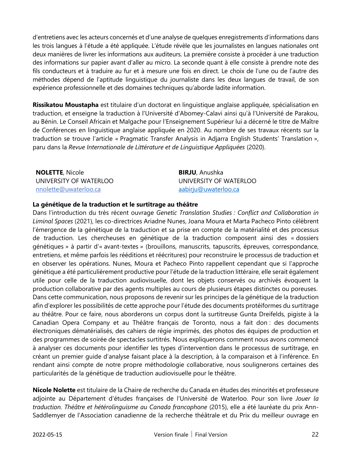d'entretiens avec les acteurs concernés et d'une analyse de quelques enregistrements d'informations dans les trois langues à l'étude a été appliquée. L'étude révèle que les journalistes en langues nationales ont deux manières de livrer les informations aux auditeurs. La première consiste à procéder à une traduction des informations sur papier avant d'aller au micro. La seconde quant à elle consiste à prendre note des fils conducteurs et à traduire au fur et à mesure une fois en direct. Le choix de l'une ou de l'autre des méthodes dépend de l'aptitude linguistique du journaliste dans les deux langues de travail, de son expérience professionnelle et des domaines techniques qu'aborde ladite information.

**Rissikatou Moustapha** est titulaire d'un doctorat en linguistique anglaise appliquée, spécialisation en traduction, et enseigne la traduction à l'Université d'Abomey-Calavi ainsi qu'à l'Université de Parakou, au Bénin. Le Conseil Africain et Malgache pour l'Enseignement Supérieur lui a décerné le titre de Maître de Conférences en linguistique anglaise appliquée en 2020. Au nombre de ses travaux récents sur la traduction se trouve l'article « Pragmatic Transfer Analysis in Adjarra English Students' Translation », paru dans la *Revue Internationale de Littérature et de Linguistique Appliquées* (2020).

**NOLETTE**, Nicole UNIVERSITY OF WATERLOO [nnolette@uwaterloo.ca](mailto:nnolette@uwaterloo.ca)

**BIRJU**, Anushka UNIVERSITY OF WATERLOO [aabirju@uwaterloo.ca](mailto:aabirju@uwaterloo.ca)

#### **La génétique de la traduction et le surtitrage au théâtre**

Dans l'introduction du très récent ouvrage *Genetic Translation Studies : Conflict and Collaboration in Liminal Spaces* (2021), les co-directrices Ariadne Nunes, Joana Moura et Marta Pacheco Pinto célèbrent l'émergence de la génétique de la traduction et sa prise en compte de la matérialité et des processus de traduction. Les chercheuses en génétique de la traduction composent ainsi des « dossiers génétiques » à partir d'« avant-textes » (brouillons, manuscrits, tapuscrits, épreuves, correspondance, entretiens, et même parfois les rééditions et réécritures) pour reconstruire le processus de traduction et en observer les opérations. Nunes, Moura et Pacheco Pinto rappellent cependant que si l'approche génétique a été particulièrement productive pour l'étude de la traduction littéraire, elle serait également utile pour celle de la traduction audiovisuelle, dont les objets conservés ou archivés évoquent la production collaborative par des agents multiples au cours de plusieurs étapes distinctes ou poreuses. Dans cette communication, nous proposons de revenir sur les principes de la génétique de la traduction afin d'explorer les possibilités de cette approche pour l'étude des documents protéiformes du surtitrage au théâtre. Pour ce faire, nous aborderons un corpus dont la surtitreuse Gunta Dreifelds, pigiste à la Canadian Opera Company et au Théâtre français de Toronto, nous a fait don : des documents électroniques dématérialisés, des cahiers de régie imprimés, des photos des équipes de production et des programmes de soirée de spectacles surtitrés. Nous expliquerons comment nous avons commencé à analyser ces documents pour identifier les types d'intervention dans le processus de surtitrage, en créant un premier guide d'analyse faisant place à la description, à la comparaison et à l'inférence. En rendant ainsi compte de notre propre méthodologie collaborative, nous soulignerons certaines des particularités de la génétique de traduction audiovisuelle pour le théâtre.

**Nicole Nolette** est titulaire de la Chaire de recherche du Canada en études des minorités et professeure adjointe au Département d'études françaises de l'Université de Waterloo. Pour son livre *Jouer la traduction. Théâtre et hétérolinguisme au Canada francophone* (2015), elle a été lauréate du prix Ann-Saddlemyer de l'Association canadienne de la recherche théâtrale et du Prix du meilleur ouvrage en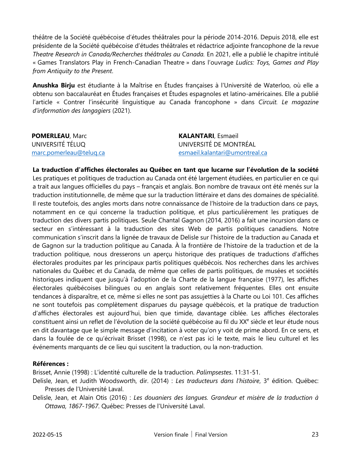théâtre de la Société québécoise d'études théâtrales pour la période 2014-2016. Depuis 2018, elle est présidente de la Société québécoise d'études théâtrales et rédactrice adjointe francophone de la revue *Theatre Research in Canada/Recherches théâtrales au Canada.* En 2021, elle a publié le chapitre intitulé « Games Translators Play in French-Canadian Theatre » dans l'ouvrage *Ludics: Toys, Games and Play from Antiquity to the Present*.

**Anushka Birju** est étudiante à la Maîtrise en Études françaises à l'Université de Waterloo, où elle a obtenu son baccalauréat en Études françaises et Études espagnoles et latino-américaines. Elle a publié l'article « Contrer l'insécurité linguistique au Canada francophone » dans *Circuit. Le magazine d'information des langagiers* (2021).

| <b>POMERLEAU, Marc</b>  | <b>KALANTARI, Esmaeil</b>      |
|-------------------------|--------------------------------|
| UNIVERSITÉ TÉLUQ        | UNIVERSITÉ DE MONTRÉAL         |
| marc.pomerleau@telug.ca | esmaeil.kalantari@umontreal.ca |

**La traduction d'affiches électorales au Québec en tant que lucarne sur l'évolution de la société**  Les pratiques et politiques de traduction au Canada ont été largement étudiées, en particulier en ce qui a trait aux langues officielles du pays – français et anglais. Bon nombre de travaux ont été menés sur la traduction institutionnelle, de même que sur la traduction littéraire et dans des domaines de spécialité. Il reste toutefois, des angles morts dans notre connaissance de l'histoire de la traduction dans ce pays, notamment en ce qui concerne la traduction politique, et plus particulièrement les pratiques de traduction des divers partis politiques. Seule Chantal Gagnon (2014, 2016) a fait une incursion dans ce secteur en s'intéressant à la traduction des sites Web de partis politiques canadiens. Notre communication s'inscrit dans la lignée de travaux de Delisle sur l'histoire de la traduction au Canada et de Gagnon sur la traduction politique au Canada. À la frontière de l'histoire de la traduction et de la traduction politique, nous dresserons un aperçu historique des pratiques de traductions d'affiches électorales produites par les principaux partis politiques québécois. Nos recherches dans les archives nationales du Québec et du Canada, de même que celles de partis politiques, de musées et sociétés historiques indiquent que jusqu'à l'adoption de la Charte de la langue française (1977), les affiches électorales québécoises bilingues ou en anglais sont relativement fréquentes. Elles ont ensuite tendances à disparaître, et ce, même si elles ne sont pas assujetties à la Charte ou Loi 101. Ces affiches ne sont toutefois pas complètement disparues du paysage québécois, et la pratique de traduction d'affiches électorales est aujourd'hui, bien que timide, davantage ciblée. Les affiches électorales constituent ainsi un reflet de l'évolution de la société québécoise au fil du XX<sup>e</sup> siècle et leur étude nous en dit davantage que le simple message d'incitation à voter qu'on y voit de prime abord. En ce sens, et dans la foulée de ce qu'écrivait Brisset (1998), ce n'est pas ici le texte, mais le lieu culturel et les événements marquants de ce lieu qui suscitent la traduction, ou la non-traduction.

#### **Références :**

Brisset, Annie (1998) : L'identité culturelle de la traduction. *Palimpsestes*. 11:31-51.

Delisle, Jean, et Judith Woodsworth, dir. (2014) : Les traducteurs dans l'histoire, 3<sup>e</sup> édition. Québec: Presses de l'Université Laval.

Delisle, Jean, et Alain Otis (2016) : *Les douaniers des langues. Grandeur et misère de la traduction à Ottawa, 1867-1967*. Québec: Presses de l'Université Laval.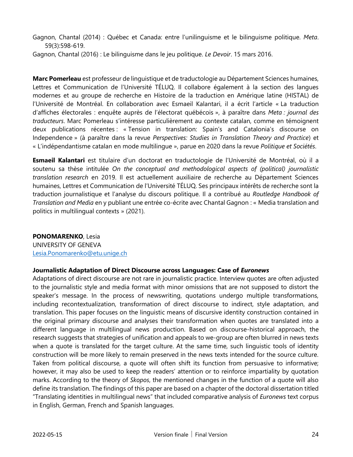Gagnon, Chantal (2014) : Québec et Canada: entre l'unilinguisme et le bilinguisme politique. *Meta*. 59(3):598-619.

Gagnon, Chantal (2016) : Le bilinguisme dans le jeu politique. *Le Devoir*. 15 mars 2016.

**Marc Pomerleau** est professeur de linguistique et de traductologie au Département Sciences humaines, Lettres et Communication de l'Université TÉLUQ. Il collabore également à la section des langues modernes et au groupe de recherche en Histoire de la traduction en Amérique latine (HISTAL) de l'Université de Montréal. En collaboration avec Esmaeil Kalantari, il a écrit l'article « La traduction d'affiches électorales : enquête auprès de l'électorat québécois », à paraître dans *Meta : journal des traducteurs*. Marc Pomerleau s'intéresse particulièrement au contexte catalan, comme en témoignent deux publications récentes : « Tension in translation: Spain's and Catalonia's discourse on Independence » (à paraître dans la revue *Perspectives: Studies in Translation Theory and Practice*) et « L'indépendantisme catalan en mode multilingue », parue en 2020 dans la revue *Politique et Sociétés*.

**Esmaeil Kalantari** est titulaire d'un doctorat en traductologie de l'Université de Montréal, où il a soutenu sa thèse intitulée *On the conceptual and methodological aspects of (political) journalistic translation research* en 2019. Il est actuellement auxiliaire de recherche au Département Sciences humaines, Lettres et Communication de l'Université TÉLUQ. Ses principaux intérêts de recherche sont la traduction journalistique et l'analyse du discours politique. Il a contribué au *Routledge Handbook of Translation and Media* en y publiant une entrée co-écrite avec Chantal Gagnon : « Media translation and politics in multilingual contexts » (2021).

## **PONOMARENKO**, Lesia

UNIVERSITY OF GENEVA [Lesia.Ponomarenko@etu.unige.ch](mailto:Lesia.Ponomarenko@etu.unige.ch)

#### **Journalistic Adaptation of Direct Discourse across Languages: Case of** *Euronews*

Adaptations of direct discourse are not rare in journalistic practice. Interview quotes are often adjusted to the journalistic style and media format with minor omissions that are not supposed to distort the speaker's message. In the process of newswriting, quotations undergo multiple transformations, including recontextualization, transformation of direct discourse to indirect, style adaptation, and translation. This paper focuses on the linguistic means of discursive identity construction contained in the original primary discourse and analyses their transformation when quotes are translated into a different language in multilingual news production. Based on discourse-historical approach, the research suggests that strategies of unification and appeals to we-group are often blurred in news texts when a quote is translated for the target culture. At the same time, such linguistic tools of identity construction will be more likely to remain preserved in the news texts intended for the source culture. Taken from political discourse, a quote will often shift its function from persuasive to informative; however, it may also be used to keep the readers' attention or to reinforce impartiality by quotation marks. According to the theory of *Skopos*, the mentioned changes in the function of a quote will also define its translation. The findings of this paper are based on a chapter of the doctoral dissertation titled "Translating identities in multilingual news" that included comparative analysis of *Euronews* text corpus in English, German, French and Spanish languages.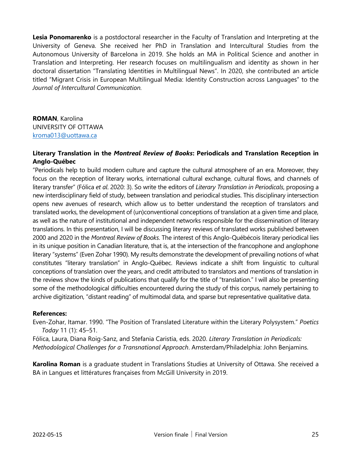**Lesia Ponomarenko** is a postdoctoral researcher in the Faculty of Translation and Interpreting at the University of Geneva. She received her PhD in Translation and Intercultural Studies from the Autonomous University of Barcelona in 2019. She holds an MA in Political Science and another in Translation and Interpreting. Her research focuses on multilingualism and identity as shown in her doctoral dissertation "Translating Identities in Multilingual News". In 2020, she contributed an article titled "Migrant Crisis in European Multilingual Media: Identity Construction across Languages" to the *Journal of Intercultural Communication.*

**ROMAN**, Karolina UNIVERSITY OF OTTAWA [kroma013@uottawa.ca](mailto:kroma013@uottawa.ca)

### **Literary Translation in the** *Montreal Review of Books***: Periodicals and Translation Reception in Anglo-Québec**

"Periodicals help to build modern culture and capture the cultural atmosphere of an era. Moreover, they focus on the reception of literary works, international cultural exchange, cultural flows, and channels of literary transfer" (Fólica *et al*. 2020: 3). So write the editors of *Literary Translation in Periodicals*, proposing a new interdisciplinary field of study, between translation and periodical studies. This disciplinary intersection opens new avenues of research, which allow us to better understand the reception of translators and translated works, the development of (un)conventional conceptions of translation at a given time and place, as well as the nature of institutional and independent networks responsible for the dissemination of literary translations. In this presentation, I will be discussing literary reviews of translated works published between 2000 and 2020 in the *Montreal Review of Books*. The interest of this Anglo-Québécois literary periodical lies in its unique position in Canadian literature, that is, at the intersection of the francophone and anglophone literary "systems" (Even Zohar 1990). My results demonstrate the development of prevailing notions of what constitutes "literary translation" in Anglo-Québec. Reviews indicate a shift from linguistic to cultural conceptions of translation over the years, and credit attributed to translators and mentions of translation in the reviews show the kinds of publications that qualify for the title of "translation." I will also be presenting some of the methodological difficulties encountered during the study of this corpus, namely pertaining to archive digitization, "distant reading" of multimodal data, and sparse but representative qualitative data.

#### **References:**

Even-Zohar, Itamar. 1990. "The Position of Translated Literature within the Literary Polysystem." *Poetics Today* 11 (1): 45–51.

Fólica, Laura, Diana Roig-Sanz, and Stefania Caristia, eds. 2020. *Literary Translation in Periodicals: Methodological Challenges for a Transnational Approach*. Amsterdam/Philadelphia: John Benjamins.

**Karolina Roman** is a graduate student in Translations Studies at University of Ottawa. She received a BA in Langues et littératures françaises from McGill University in 2019.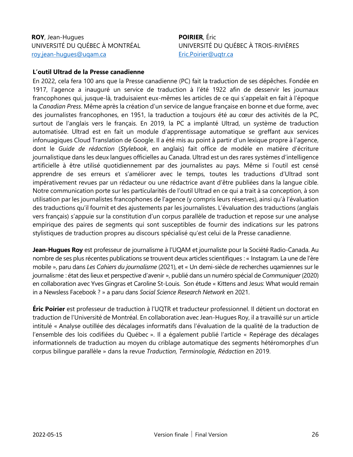## **POIRIER**, Éric UNIVERSITÉ DU QUÉBEC À TROIS-RIVIÈRES [Eric.Poirier@uqtr.ca](mailto:Eric.Poirier@uqtr.ca)

## **L'outil Ultrad de la Presse canadienne**

En 2022, cela fera 100 ans que la Presse canadienne (PC) fait la traduction de ses dépêches. Fondée en 1917, l'agence a inauguré un service de traduction à l'été 1922 afin de desservir les journaux francophones qui, jusque-là, traduisaient eux-mêmes les articles de ce qui s'appelait en fait à l'époque la *Canadian Press*. Même après la création d'un service de langue française en bonne et due forme, avec des journalistes francophones, en 1951, la traduction a toujours été au cœur des activités de la PC, surtout de l'anglais vers le français. En 2019, la PC a implanté Ultrad, un système de traduction automatisée. Ultrad est en fait un module d'apprentissage automatique se greffant aux services infonuagiques Cloud Translation de Google. Il a été mis au point à partir d'un lexique propre à l'agence, dont le *Guide de rédaction* (*Stylebook*, en anglais) fait office de modèle en matière d'écriture journalistique dans les deux langues officielles au Canada. Ultrad est un des rares systèmes d'intelligence artificielle à être utilisé quotidiennement par des journalistes au pays. Même si l'outil est censé apprendre de ses erreurs et s'améliorer avec le temps, toutes les traductions d'Ultrad sont impérativement revues par un rédacteur ou une rédactrice avant d'être publiées dans la langue cible. Notre communication porte sur les particularités de l'outil Ultrad en ce qui a trait à sa conception, à son utilisation par les journalistes francophones de l'agence (y compris leurs réserves), ainsi qu'à l'évaluation des traductions qu'il fournit et des ajustements par les journalistes. L'évaluation des traductions (anglais vers français) s'appuie sur la constitution d'un corpus parallèle de traduction et repose sur une analyse empirique des paires de segments qui sont susceptibles de fournir des indications sur les patrons stylistiques de traduction propres au discours spécialisé qu'est celui de la Presse canadienne.

**Jean-Hugues Roy** est professeur de journalisme à l'UQAM et journaliste pour la Société Radio-Canada. Au nombre de ses plus récentes publications se trouvent deux articles scientifiques : « Instagram. La une de l'ère mobile », paru dans *Les Cahiers du journalisme* (2021), et « Un demi-siècle de recherches uqamiennes sur le journalisme : état des lieux et perspective d'avenir », publié dans un numéro spécial de *Communiquer* (2020) en collaboration avec Yves Gingras et Caroline St-Louis. Son étude « Kittens and Jesus: What would remain in a Newsless Facebook ? » a paru dans *Social Science Research Network* en 2021.

**Éric Poirier** est professeur de traduction à l'UQTR et traducteur professionnel. Il détient un doctorat en traduction de l'Université de Montréal. En collaboration avec Jean-Hugues Roy, il a travaillé sur un article intitulé « Analyse outillée des décalages informatifs dans l'évaluation de la qualité de la traduction de l'ensemble des lois codifiées du Québec ». Il a également publié l'article « Repérage des décalages informationnels de traduction au moyen du criblage automatique des segments hétéromorphes d'un corpus bilingue parallèle » dans la revue *Traduction, Terminologie, Rédaction* en 2019.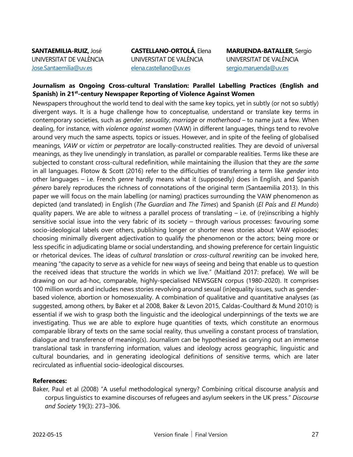**CASTELLANO-ORTOLÁ**, Elena UNIVERSITAT DE VALÈNCIA [elena.castellano@uv.es](mailto:elena.castellano@uv.es)

**MARUENDA-BATALLER**, Sergio UNIVERSITAT DE VALÈNCIA [sergio.maruenda@uv.es](mailto:sergio.maruenda@uv.es)

## **Journalism as Ongoing Cross-cultural Translation: Parallel Labelling Practices (English and Spanish) in 21st -century Newspaper Reporting of Violence Against Women**

Newspapers throughout the world tend to deal with the same key topics, yet in subtly (or not so subtly) divergent ways. It is a huge challenge how to conceptualise, understand or translate key terms in contemporary societies, such as *gender*, *sexuality*, *marriage* or *motherhood* – to name just a few. When dealing, for instance, with *violence against women* (VAW) in different languages, things tend to revolve around very much the same aspects, topics or issues. However, and in spite of the feeling of globalised meanings, *VAW* or *victim* or *perpetrator* are locally-constructed realities. They are devoid of universal meanings, as they live unendingly in translation, as parallel or comparable realities. Terms like these are subjected to constant cross-cultural redefinition, while maintaining the illusion that they are *the same* in all languages. Flotow & Scott (2016) refer to the difficulties of transferring a term like *gender* into other languages – i.e. French *genre* hardly means what it (supposedly) does in English, and Spanish *género* barely reproduces the richness of connotations of the original term (Santaemilia 2013). In this paper we will focus on the main labelling (or naming) practices surrounding the VAW phenomenon as depicted (and translated) in English (*The Guardian* and *The Times*) and Spanish (*El País* and *El Mundo*) quality papers. We are able to witness a parallel process of translating – i.e. of (re)inscribing a highly sensitive social issue into the very fabric of its society – through various processes: favouring some socio-ideological labels over others, publishing longer or shorter news stories about VAW episodes; choosing minimally divergent adjectivation to qualify the phenomenon or the actors; being more or less specific in adjudicating blame or social understanding, and showing preference for certain linguistic or rhetorical devices. The ideas of *cultural translation* or *cross-cultural rewriting* can be invoked here, meaning "the capacity to serve as a vehicle for new ways of seeing and being that enable us to question the received ideas that structure the worlds in which we live." (Maitland 2017: preface). We will be drawing on our ad-hoc, comparable, highly-specialised NEWSGEN corpus (1980-2020). It comprises 100 million words and includes news stories revolving around sexual (in)equality issues, such as genderbased violence, abortion or homosexuality. A combination of qualitative and quantitative analyses (as suggested, among others, by Baker et al 2008, Baker & Levon 2015, Caldas-Coulthard & Mund 2010) is essential if we wish to grasp both the linguistic and the ideological underpinnings of the texts we are investigating. Thus we are able to explore huge quantities of texts, which constitute an enormous comparable library of texts on the same social reality, thus unveiling a constant process of translation, dialogue and transference of meaning(s). Journalism can be hypothesised as carrying out an immense translational task in transferring information, values and ideology across geographic, linguistic and cultural boundaries, and in generating ideological definitions of sensitive terms, which are later recirculated as influential socio-ideological discourses.

#### **References:**

Baker, Paul et al (2008) "A useful methodological synergy? Combining critical discourse analysis and corpus linguistics to examine discourses of refugees and asylum seekers in the UK press." *Discourse and Society* 19(3): 273–306.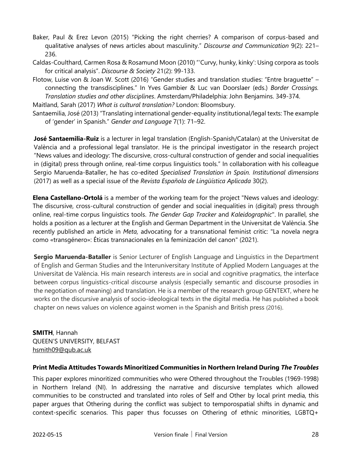- Baker, Paul & Erez Levon (2015) "Picking the right cherries? A comparison of corpus-based and qualitative analyses of news articles about masculinity." *Discourse and Communication* 9(2): 221– 236.
- Caldas-Coulthard, Carmen Rosa & Rosamund Moon (2010) "'Curvy, hunky, kinky': Using corpora as tools for critical analysis". *Discourse & Society* 21(2): 99-133.
- Flotow, Luise von & Joan W. Scott (2016) "Gender studies and translation studies: "Entre braguette" connecting the transdisciplines." In Yves Gambier & Luc van Doorslaer (eds.) *Border Crossings. Translation studies and other disciplines*. Amsterdam/Philadelphia: John Benjamins. 349-374.

Maitland, Sarah (2017) *What is cultural translation?* London: Bloomsbury.

Santaemilia, José (2013) "Translating international gender-equality institutional/legal texts: The example of 'gender' in Spanish." *Gender and Language* 7(1): 71–92.

**José Santaemilia-Ruiz** is a lecturer in legal translation (English-Spanish/Catalan) at the Universitat de València and a professional legal translator. He is the principal investigator in the research project "News values and ideology: The discursive, cross-cultural construction of gender and social inequalities in (digital) press through online, real-time corpus linguistics tools." In collaboration with his colleague Sergio Maruenda-Bataller, he has co-edited *Specialised Translation in Spain. Institutional dimensions*  (2017) as well as a special issue of the *Revista Española de Lingüística Aplicada* 30(2).

**Elena Castellano-Ortolá** is a member of the working team for the project "News values and ideology: The discursive, cross-cultural construction of gender and social inequalities in (digital) press through online, real-time corpus linguistics tools. *The Gender Gap Tracker* and *Kaleidographic*". In parallel, she holds a position as a lecturer at the English and German Department in the Universitat de València. She recently published an article in *Meta,* advocating for a transnational feminist critic: "La novela negra como «transgénero»: Éticas transnacionales en la feminización del canon" (2021).

**Sergio Maruenda-Bataller** is Senior Lecturer of English Language and Linguistics in the Department of English and German Studies and the Interuniversitary Institute of Applied Modern Languages at the Universitat de València. His main research interests are in social and cognitive pragmatics, the interface between corpus linguistics-critical discourse analysis (especially semantic and discourse prosodies in the negotiation of meaning) and translation. He is a member of the research group GENTEXT, where he works on the discursive analysis of socio-ideological texts in the digital media. He has published a book chapter on news values on violence against women in the Spanish and British press (2016).

**SMITH**, Hannah QUEEN'S UNIVERSITY, BELFAST [hsmith09@qub.ac.uk](mailto:hsmith09@qub.ac.uk)

#### **Print Media Attitudes Towards Minoritized Communities in Northern Ireland During** *The Troubles*

This paper explores minoritized communities who were Othered throughout the Troubles (1969-1998) in Northern Ireland (NI). In addressing the narrative and discursive templates which allowed communities to be constructed and translated into roles of Self and Other by local print media, this paper argues that Othering during the conflict was subject to temporospatial shifts in dynamic and context-specific scenarios. This paper thus focusses on Othering of ethnic minorities, LGBTQ+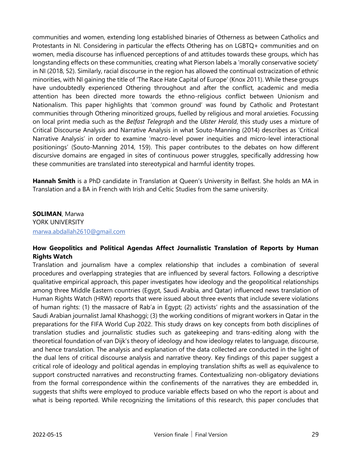communities and women, extending long established binaries of Otherness as between Catholics and Protestants in NI. Considering in particular the effects Othering has on LGBTQ+ communities and on women, media discourse has influenced perceptions of and attitudes towards these groups, which has longstanding effects on these communities, creating what Pierson labels a 'morally conservative society' in NI (2018, 52). Similarly, racial discourse in the region has allowed the continual ostracization of ethnic minorities, with NI gaining the title of 'The Race Hate Capital of Europe' (Knox 2011). While these groups have undoubtedly experienced Othering throughout and after the conflict, academic and media attention has been directed more towards the ethno-religious conflict between Unionism and Nationalism. This paper highlights that 'common ground' was found by Catholic and Protestant communities through Othering minoritized groups, fuelled by religious and moral anxieties. Focussing on local print media such as the *Belfast Telegraph* and the *Ulster Herald*, this study uses a mixture of Critical Discourse Analysis and Narrative Analysis in what Souto-Manning (2014) describes as 'Critical Narrative Analysis' in order to examine 'macro-level power inequities and micro-level interactional positionings' (Souto-Manning 2014, 159). This paper contributes to the debates on how different discursive domains are engaged in sites of continuous power struggles, specifically addressing how these communities are translated into stereotypical and harmful identity tropes.

**Hannah Smith** is a PhD candidate in Translation at Queen's University in Belfast. She holds an MA in Translation and a BA in French with Irish and Celtic Studies from the same university.

**SOLIMAN**, Marwa YORK UNIVERSITY [marwa.abdallah2610@gmail.com](mailto:marwa.abdallah2610@gmail.com)

## **How Geopolitics and Political Agendas Affect Journalistic Translation of Reports by Human Rights Watch**

Translation and journalism have a complex relationship that includes a combination of several procedures and overlapping strategies that are influenced by several factors. Following a descriptive qualitative empirical approach, this paper investigates how ideology and the geopolitical relationships among three Middle Eastern countries (Egypt, Saudi Arabia, and Qatar) influenced news translation of Human Rights Watch (HRW) reports that were issued about three events that include severe violations of human rights: (1) the massacre of Rab'a in Egypt; (2) activists' rights and the assassination of the Saudi Arabian journalist Jamal Khashoggi; (3) the working conditions of migrant workers in Qatar in the preparations for the FIFA World Cup 2022. This study draws on key concepts from both disciplines of translation studies and journalistic studies such as gatekeeping and trans-editing along with the theoretical foundation of van Dijk's theory of ideology and how ideology relates to language, discourse, and hence translation. The analysis and explanation of the data collected are conducted in the light of the dual lens of critical discourse analysis and narrative theory. Key findings of this paper suggest a critical role of ideology and political agendas in employing translation shifts as well as equivalence to support constructed narratives and reconstructing frames. Contextualizing non-obligatory deviations from the formal correspondence within the confinements of the narratives they are embedded in, suggests that shifts were employed to produce variable effects based on who the report is about and what is being reported. While recognizing the limitations of this research, this paper concludes that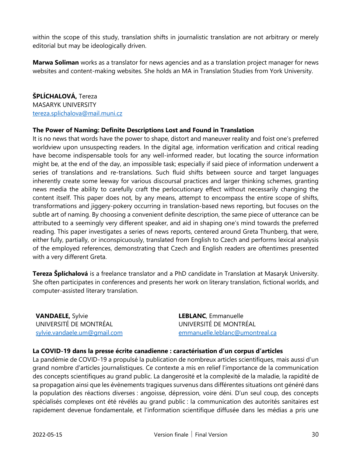within the scope of this study, translation shifts in journalistic translation are not arbitrary or merely editorial but may be ideologically driven.

**Marwa Soliman** works as a translator for news agencies and as a translation project manager for news websites and content-making websites. She holds an MA in Translation Studies from York University.

# **ŠPLÍCHALOVÁ,** Tereza

MASARYK UNIVERSITY [tereza.splichalova@mail.muni.cz](mailto:tereza.splichalova@mail.muni.cz)

### **The Power of Naming: Definite Descriptions Lost and Found in Translation**

It is no news that words have the power to shape, distort and maneuver reality and foist one's preferred worldview upon unsuspecting readers. In the digital age, information verification and critical reading have become indispensable tools for any well-informed reader, but locating the source information might be, at the end of the day, an impossible task; especially if said piece of information underwent a series of translations and re-translations. Such fluid shifts between source and target languages inherently create some leeway for various discoursal practices and larger thinking schemes, granting news media the ability to carefully craft the perlocutionary effect without necessarily changing the content itself. This paper does not, by any means, attempt to encompass the entire scope of shifts, transformations and jiggery-pokery occurring in translation-based news reporting, but focuses on the subtle art of naming. By choosing a convenient definite description, the same piece of utterance can be attributed to a seemingly very different speaker, and aid in shaping one's mind towards the preferred reading. This paper investigates a series of news reports, centered around Greta Thunberg, that were, either fully, partially, or inconspicuously, translated from English to Czech and performs lexical analysis of the employed references, demonstrating that Czech and English readers are oftentimes presented with a very different Greta.

**Tereza Šplíchalová** is a freelance translator and a PhD candidate in Translation at Masaryk University. She often participates in conferences and presents her work on literary translation, fictional worlds, and computer-assisted literary translation.

**VANDAELE,** Sylvie UNIVERSITÉ DE MONTRÉAL [sylvie.vandaele.um@gmail.com](mailto:sylvie.vandaele.um@gmail.com) **LEBLANC**, Emmanuelle UNIVERSITÉ DE MONTRÉAL [emmanuelle.leblanc@umontreal.ca](mailto:emmanuelle.leblanc@umontreal.ca)

## **La COVID-19 dans la presse écrite canadienne : caractérisation d'un corpus d'articles**

La pandémie de COVID-19 a propulsé la publication de nombreux articles scientifiques, mais aussi d'un grand nombre d'articles journalistiques. Ce contexte a mis en relief l'importance de la communication des concepts scientifiques au grand public. La dangerosité et la complexité de la maladie, la rapidité de sa propagation ainsi que les évènements tragiques survenus dans différentes situations ont généré dans la population des réactions diverses : angoisse, dépression, voire déni. D'un seul coup, des concepts spécialisés complexes ont été révélés au grand public : la communication des autorités sanitaires est rapidement devenue fondamentale, et l'information scientifique diffusée dans les médias a pris une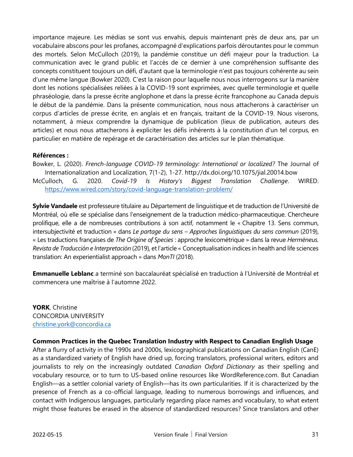importance majeure. Les médias se sont vus envahis, depuis maintenant près de deux ans, par un vocabulaire abscons pour les profanes, accompagné d'explications parfois déroutantes pour le commun des mortels. Selon McCulloch (2019), la pandémie constitue un défi majeur pour la traduction. La communication avec le grand public et l'accès de ce dernier à une compréhension suffisante des concepts constituent toujours un défi, d'autant que la terminologie n'est pas toujours cohérente au sein d'une même langue (Bowker 2020). C'est la raison pour laquelle nous nous interrogeons sur la manière dont les notions spécialisées reliées à la COVID-19 sont exprimées, avec quelle terminologie et quelle phraséologie, dans la presse écrite anglophone et dans la presse écrite francophone au Canada depuis le début de la pandémie. Dans la présente communication, nous nous attacherons à caractériser un corpus d'articles de presse écrite, en anglais et en français, traitant de la COVID-19. Nous viserons, notamment, à mieux comprendre la dynamique de publication (lieux de publication, auteurs des articles) et nous nous attacherons à expliciter les défis inhérents à la constitution d'un tel corpus, en particulier en matière de repérage et de caractérisation des articles sur le plan thématique.

### **Références :**

Bowker, L. (2020). *French-language COVID-19 terminology: International or localized?* The Journal of Internationalization and Localization, 7(1-2), 1-27. http://dx.doi.org/10.1075/jial.20014.bow McCulloch, G. 2020. *Covid-19 Is History's Biggest Translation Challenge*. WIRED. <https://www.wired.com/story/covid-language-translation-problem/>

**Sylvie Vandaele** est professeure titulaire au Département de linguistique et de traduction de l'Université de Montréal, où elle se spécialise dans l'enseignement de la traduction médico-pharmaceutique. Chercheure prolifique, elle a de nombreuses contributions à son actif, notamment le « Chapitre 13. Sens commun, intersubjectivité et traduction » dans *Le partage du sens – Approches linguistiques du sens commun* (2019), « Les traductions françaises de *The Origine of Species* : approche lexicométrique » dans la revue *Hermēneus. Revista de Traducción e Interpretación* (2019)*,* et l'article « Conceptualisation indices in health and life sciences translation: An experientialist approach » dans *MonTI* (2018).

**Emmanuelle Leblanc** a terminé son baccalauréat spécialisé en traduction à l'Université de Montréal et commencera une maîtrise à l'automne 2022.

**YORK**, Christine CONCORDIA UNIVERSITY [christine.york@concordia.ca](mailto:christine.york@concordia.ca)

## **Common Practices in the Quebec Translation Industry with Respect to Canadian English Usage**

After a flurry of activity in the 1990s and 2000s, lexicographical publications on Canadian English (CanE) as a standardized variety of English have dried up, forcing translators, professional writers, editors and journalists to rely on the increasingly outdated *Canadian Oxford Dictionary* as their spelling and vocabulary resource, or to turn to US-based online resources like WordReference.com. But Canadian English—as a settler colonial variety of English—has its own particularities. If it is characterized by the presence of French as a co-official language, leading to numerous borrowings and influences, and contact with Indigenous languages, particularly regarding place names and vocabulary, to what extent might those features be erased in the absence of standardized resources? Since translators and other